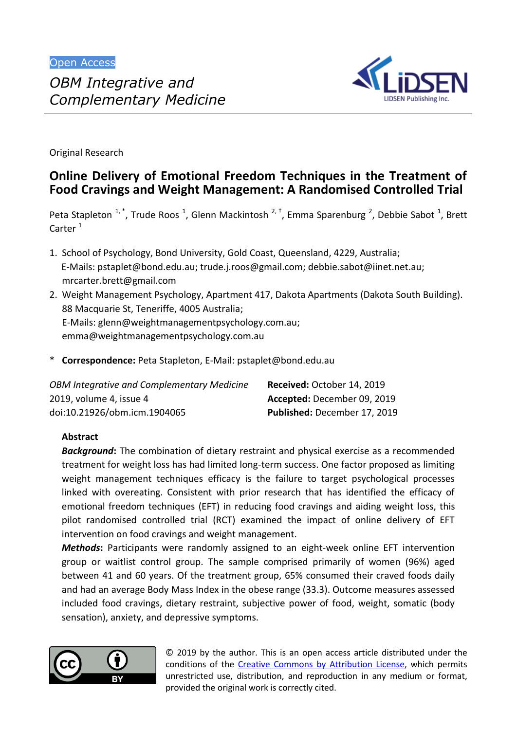

Original Research

# **Online Delivery of Emotional Freedom Techniques in the Treatment of Food Cravings and Weight Management: A Randomised Controlled Trial**

Peta Stapleton <sup>1, \*</sup>, Trude Roos <sup>1</sup>, Glenn Mackintosh <sup>2, †</sup>, Emma Sparenburg <sup>2</sup>, Debbie Sabot <sup>1</sup>, Brett Carter<sup>1</sup>

- 1. School of Psychology, Bond University, Gold Coast, Queensland, 4229, Australia; E-Mails: [pstaplet@bond.edu.au;](mailto:pstaplet@bond.edu.au) [trude.j.roos@gmail.com;](mailto:trude.j.roos@gmail.com) [debbie.sabot@iinet.net.au;](mailto:debbie.sabot@iinet.net.au) [mrcarter.brett@gmail.com](mailto:mrcarter.brett@gmail.com)
- 2. Weight Management Psychology, Apartment 417, Dakota Apartments (Dakota South Building). 88 Macquarie St, Teneriffe, 4005 Australia; E-Mails: [glenn@weightmanagementpsychology.com.au;](mailto:glenn@weightmanagementpsychology.com.au) [emma@weightmanagementpsychology.com.au](mailto:emma@weightmanagementpsychology.com.au)
- \* **Correspondence:** Peta Stapleton, E-Mail: [pstaplet@bond.edu.au](mailto:pstaplet@bond.edu.au)

| OBM Integrative and Complementary Medicine | Received: October 14, 2019   |
|--------------------------------------------|------------------------------|
| 2019, volume 4, issue 4                    | Accepted: December 09, 2019  |
| doi:10.21926/obm.icm.1904065               | Published: December 17, 2019 |

# **Abstract**

*Background***:** The combination of dietary restraint and physical exercise as a recommended treatment for weight loss has had limited long-term success. One factor proposed as limiting weight management techniques efficacy is the failure to target psychological processes linked with overeating. Consistent with prior research that has identified the efficacy of emotional freedom techniques (EFT) in reducing food cravings and aiding weight loss, this pilot randomised controlled trial (RCT) examined the impact of online delivery of EFT intervention on food cravings and weight management.

**Methods:** Participants were randomly assigned to an eight-week online EFT intervention group or waitlist control group. The sample comprised primarily of women (96%) aged between 41 and 60 years. Of the treatment group, 65% consumed their craved foods daily and had an average Body Mass Index in the obese range (33.3). Outcome measures assessed included food cravings, dietary restraint, subjective power of food, weight, somatic (body sensation), anxiety, and depressive symptoms.



© 2019 by the author. This is an open access article distributed under the conditions of the Creative Commons by Attribution License, which permits unrestricted use, distribution, and reproduction in any medium or format, provided the original work is correctly cited.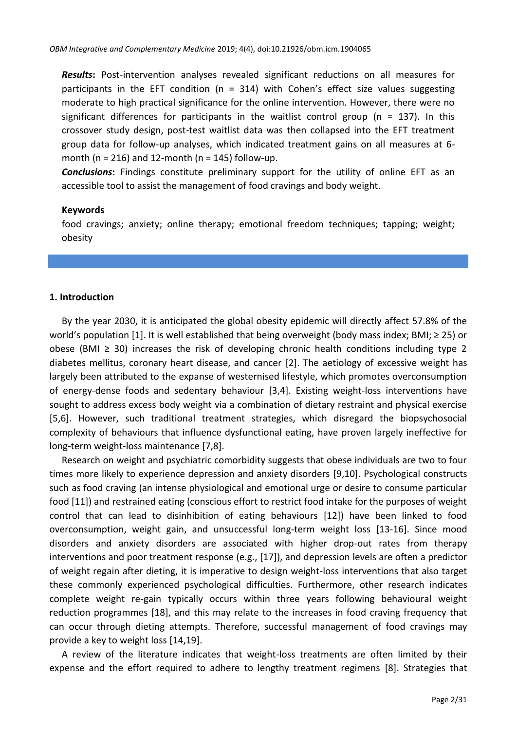*Results***:** Post-intervention analyses revealed significant reductions on all measures for participants in the EFT condition ( $n = 314$ ) with Cohen's effect size values suggesting moderate to high practical significance for the online intervention. However, there were no significant differences for participants in the waitlist control group ( $n = 137$ ). In this crossover study design, post-test waitlist data was then collapsed into the EFT treatment group data for follow-up analyses, which indicated treatment gains on all measures at 6 month ( $n = 216$ ) and 12-month ( $n = 145$ ) follow-up.

*Conclusions***:** Findings constitute preliminary support for the utility of online EFT as an accessible tool to assist the management of food cravings and body weight.

#### **Keywords**

food cravings; anxiety; online therapy; emotional freedom techniques; tapping; weight; obesity

## **1. Introduction**

By the year 2030, it is anticipated the global obesity epidemic will directly affect 57.8% of the world's population [\[1\]](#page-25-0). It is well established that being overweight (body mass index; BMI; ≥ 25) or obese (BMI ≥ 30) increases the risk of developing chronic health conditions including type 2 diabetes mellitus, coronary heart disease, and cancer [\[2\]](#page-25-1). The aetiology of excessive weight has largely been attributed to the expanse of westernised lifestyle, which promotes overconsumption of energy-dense foods and sedentary behaviour [\[3](#page-25-2)[,4\]](#page-25-3). Existing weight-loss interventions have sought to address excess body weight via a combination of dietary restraint and physical exercise [\[5,](#page-25-4)[6\]](#page-25-5). However, such traditional treatment strategies, which disregard the biopsychosocial complexity of behaviours that influence dysfunctional eating, have proven largely ineffective for long-term weight-loss maintenance [\[7](#page-26-0)[,8\]](#page-26-1).

Research on weight and psychiatric comorbidity suggests that obese individuals are two to four times more likely to experience depression and anxiety disorders [\[9](#page-26-2)[,10\]](#page-26-3). Psychological constructs such as food craving (an intense physiological and emotional urge or desire to consume particular food [\[11\]](#page-26-4)) and restrained eating (conscious effort to restrict food intake for the purposes of weight control that can lead to disinhibition of eating behaviours [\[12\]](#page-26-5)) have been linked to food overconsumption, weight gain, and unsuccessful long-term weight loss [\[13](#page-26-6)[-16\]](#page-26-7). Since mood disorders and anxiety disorders are associated with higher drop-out rates from therapy interventions and poor treatment response (e.g., [\[17\]](#page-26-8)), and depression levels are often a predictor of weight regain after dieting, it is imperative to design weight-loss interventions that also target these commonly experienced psychological difficulties. Furthermore, other research indicates complete weight re-gain typically occurs within three years following behavioural weight reduction programmes [\[18\]](#page-26-9), and this may relate to the increases in food craving frequency that can occur through dieting attempts. Therefore, successful management of food cravings may provide a key to weight loss [\[14](#page-26-10)[,19\]](#page-26-11).

A review of the literature indicates that weight-loss treatments are often limited by their expense and the effort required to adhere to lengthy treatment regimens [\[8\]](#page-26-1). Strategies that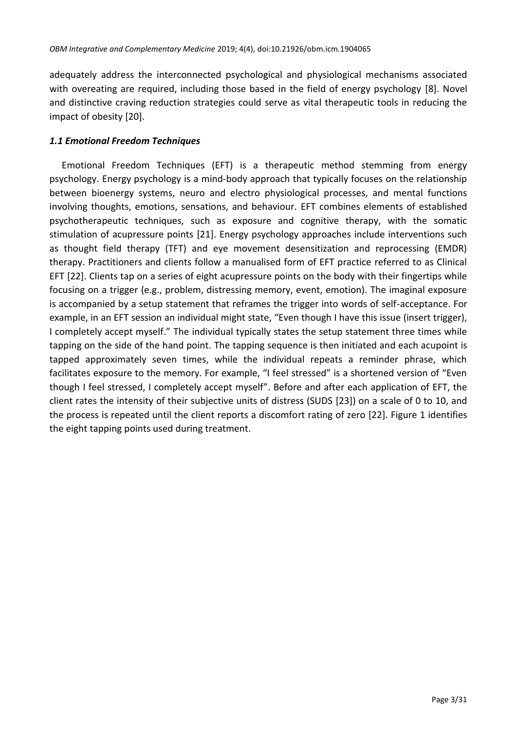adequately address the interconnected psychological and physiological mechanisms associated with overeating are required, including those based in the field of energy psychology [\[8\]](#page-26-1). Novel and distinctive craving reduction strategies could serve as vital therapeutic tools in reducing the impact of obesity [\[20\]](#page-26-12).

# *1.1 Emotional Freedom Techniques*

Emotional Freedom Techniques (EFT) is a therapeutic method stemming from energy psychology. Energy psychology is a mind-body approach that typically focuses on the relationship between bioenergy systems, neuro and electro physiological processes, and mental functions involving thoughts, emotions, sensations, and behaviour. EFT combines elements of established psychotherapeutic techniques, such as exposure and cognitive therapy, with the somatic stimulation of acupressure points [\[21\]](#page-26-13). Energy psychology approaches include interventions such as thought field therapy (TFT) and eye movement desensitization and reprocessing (EMDR) therapy. Practitioners and clients follow a manualised form of EFT practice referred to as Clinical EFT [\[22\]](#page-26-14). Clients tap on a series of eight acupressure points on the body with their fingertips while focusing on a trigger (e.g., problem, distressing memory, event, emotion). The imaginal exposure is accompanied by a setup statement that reframes the trigger into words of self-acceptance. For example, in an EFT session an individual might state, "Even though I have this issue (insert trigger), I completely accept myself." The individual typically states the setup statement three times while tapping on the side of the hand point. The tapping sequence is then initiated and each acupoint is tapped approximately seven times, while the individual repeats a reminder phrase, which facilitates exposure to the memory. For example, "I feel stressed" is a shortened version of "Even though I feel stressed, I completely accept myself". Before and after each application of EFT, the client rates the intensity of their subjective units of distress (SUDS [\[23\]](#page-26-15)) on a scale of 0 to 10, and the process is repeated until the client reports a discomfort rating of zero [\[22\]](#page-26-14). Figure 1 identifies the eight tapping points used during treatment.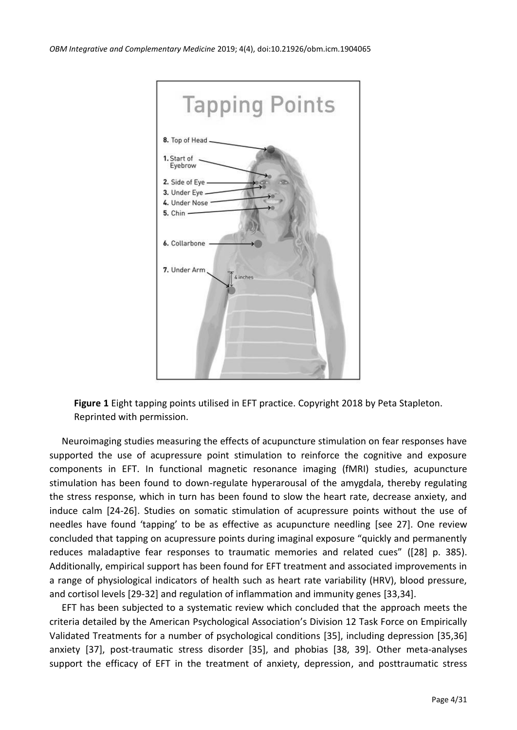

**Figure 1** Eight tapping points utilised in EFT practice. Copyright 2018 by Peta Stapleton. Reprinted with permission.

Neuroimaging studies measuring the effects of acupuncture stimulation on fear responses have supported the use of acupressure point stimulation to reinforce the cognitive and exposure components in EFT. In functional magnetic resonance imaging (fMRI) studies, acupuncture stimulation has been found to down-regulate hyperarousal of the amygdala, thereby regulating the stress response, which in turn has been found to slow the heart rate, decrease anxiety, and induce calm [\[24](#page-26-16)[-26\]](#page-26-17). Studies on somatic stimulation of acupressure points without the use of needles have found 'tapping' to be as effective as acupuncture needling [see [27\]](#page-27-0). One review concluded that tapping on acupressure points during imaginal exposure "quickly and permanently reduces maladaptive fear responses to traumatic memories and related cues" ([\[28\]](#page-27-1) p. 385). Additionally, empirical support has been found for EFT treatment and associated improvements in a range of physiological indicators of health such as heart rate variability (HRV), blood pressure, and cortisol levels [\[29](#page-27-2)[-32\]](#page-27-3) and regulation of inflammation and immunity genes [\[33](#page-27-4)[,34\]](#page-27-5).

EFT has been subjected to a systematic review which concluded that the approach meets the criteria detailed by the American Psychological Association's Division 12 Task Force on Empirically Validated Treatments for a number of psychological conditions [\[35\]](#page-27-6), including depression [\[35](#page-27-6)[,36\]](#page-27-7) anxiety [\[37\]](#page-27-8), post-traumatic stress disorder [\[35\]](#page-27-6), and phobias [\[38,](#page-27-9) [39\]](#page-27-10). Other meta-analyses support the efficacy of EFT in the treatment of anxiety, depression, and posttraumatic stress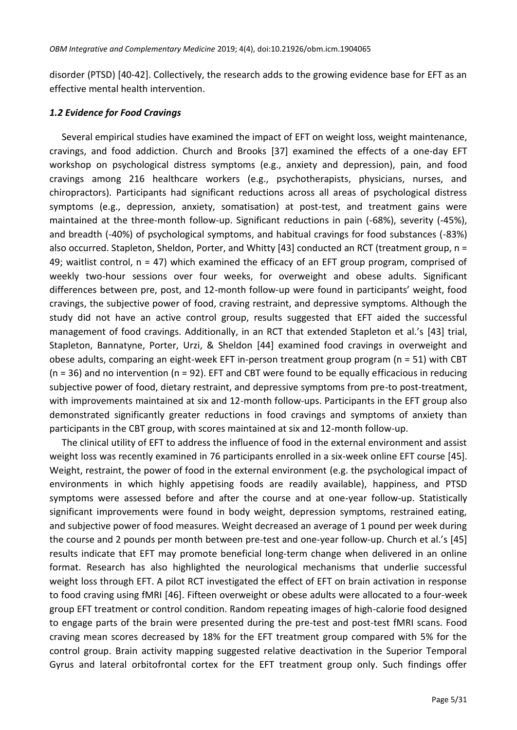disorder (PTSD) [\[40](#page-27-11)[-42\]](#page-27-12). Collectively, the research adds to the growing evidence base for EFT as an effective mental health intervention.

## *1.2 Evidence for Food Cravings*

Several empirical studies have examined the impact of EFT on weight loss, weight maintenance, cravings, and food addiction. Church and Brooks [\[37\]](#page-27-8) examined the effects of a one-day EFT workshop on psychological distress symptoms (e.g., anxiety and depression), pain, and food cravings among 216 healthcare workers (e.g., psychotherapists, physicians, nurses, and chiropractors). Participants had significant reductions across all areas of psychological distress symptoms (e.g., depression, anxiety, somatisation) at post-test, and treatment gains were maintained at the three-month follow-up. Significant reductions in pain (-68%), severity (-45%), and breadth (-40%) of psychological symptoms, and habitual cravings for food substances (-83%) also occurred. Stapleton, Sheldon, Porter, and Whitty [\[43\]](#page-27-13) conducted an RCT (treatment group, n = 49; waitlist control,  $n = 47$ ) which examined the efficacy of an EFT group program, comprised of weekly two-hour sessions over four weeks, for overweight and obese adults. Significant differences between pre, post, and 12-month follow-up were found in participants' weight, food cravings, the subjective power of food, craving restraint, and depressive symptoms. Although the study did not have an active control group, results suggested that EFT aided the successful management of food cravings. Additionally, in an RCT that extended Stapleton et al.'s [\[43\]](#page-27-13) trial, Stapleton, Bannatyne, Porter, Urzi, & Sheldon [\[44\]](#page-28-0) examined food cravings in overweight and obese adults, comparing an eight-week EFT in-person treatment group program (n = 51) with CBT  $(n = 36)$  and no intervention  $(n = 92)$ . EFT and CBT were found to be equally efficacious in reducing subjective power of food, dietary restraint, and depressive symptoms from pre-to post-treatment, with improvements maintained at six and 12-month follow-ups. Participants in the EFT group also demonstrated significantly greater reductions in food cravings and symptoms of anxiety than participants in the CBT group, with scores maintained at six and 12-month follow-up.

The clinical utility of EFT to address the influence of food in the external environment and assist weight loss was recently examined in 76 participants enrolled in a six-week online EFT course [\[45\]](#page-28-1). Weight, restraint, the power of food in the external environment (e.g. the psychological impact of environments in which highly appetising foods are readily available), happiness, and PTSD symptoms were assessed before and after the course and at one-year follow-up. Statistically significant improvements were found in body weight, depression symptoms, restrained eating, and subjective power of food measures. Weight decreased an average of 1 pound per week during the course and 2 pounds per month between pre-test and one-year follow-up. Church et al.'s [\[45\]](#page-28-1) results indicate that EFT may promote beneficial long-term change when delivered in an online format. Research has also highlighted the neurological mechanisms that underlie successful weight loss through EFT. A pilot RCT investigated the effect of EFT on brain activation in response to food craving using fMRI [\[46\]](#page-28-2). Fifteen overweight or obese adults were allocated to a four-week group EFT treatment or control condition. Random repeating images of high-calorie food designed to engage parts of the brain were presented during the pre-test and post-test fMRI scans. Food craving mean scores decreased by 18% for the EFT treatment group compared with 5% for the control group. Brain activity mapping suggested relative deactivation in the Superior Temporal Gyrus and lateral orbitofrontal cortex for the EFT treatment group only. Such findings offer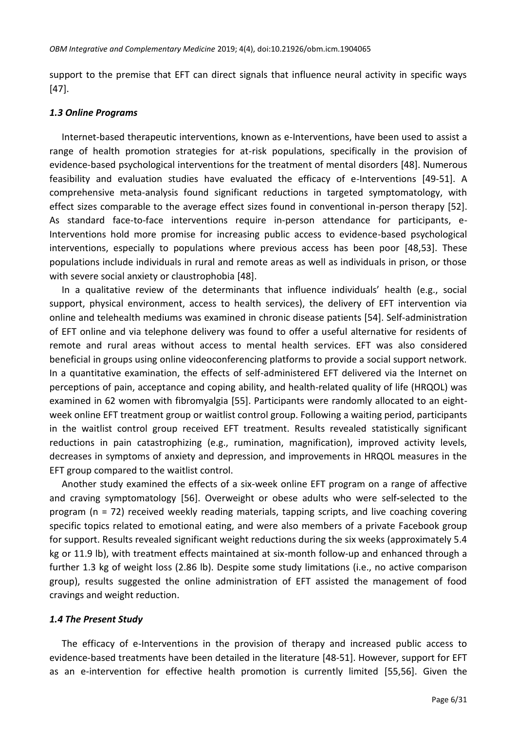support to the premise that EFT can direct signals that influence neural activity in specific ways [\[47\]](#page-28-3).

#### *1.3 Online Programs*

Internet-based therapeutic interventions, known as e-Interventions, have been used to assist a range of health promotion strategies for at-risk populations, specifically in the provision of evidence-based psychological interventions for the treatment of mental disorders [\[48\]](#page-28-4). Numerous feasibility and evaluation studies have evaluated the efficacy of e-Interventions [\[49](#page-28-5)[-51\]](#page-28-6). A comprehensive meta-analysis found significant reductions in targeted symptomatology, with effect sizes comparable to the average effect sizes found in conventional in-person therapy [\[52\]](#page-28-7). As standard face-to-face interventions require in-person attendance for participants, e-Interventions hold more promise for increasing public access to evidence-based psychological interventions, especially to populations where previous access has been poor [\[48](#page-28-4)[,53\]](#page-28-8). These populations include individuals in rural and remote areas as well as individuals in prison, or those with severe social anxiety or claustrophobia [\[48\]](#page-28-4).

In a qualitative review of the determinants that influence individuals' health (e.g., social support, physical environment, access to health services), the delivery of EFT intervention via online and telehealth mediums was examined in chronic disease patients [\[54\]](#page-28-9). Self-administration of EFT online and via telephone delivery was found to offer a useful alternative for residents of remote and rural areas without access to mental health services. EFT was also considered beneficial in groups using online videoconferencing platforms to provide a social support network. In a quantitative examination, the effects of self-administered EFT delivered via the Internet on perceptions of pain, acceptance and coping ability, and health-related quality of life (HRQOL) was examined in 62 women with fibromyalgia [\[55\]](#page-28-10). Participants were randomly allocated to an eightweek online EFT treatment group or waitlist control group. Following a waiting period, participants in the waitlist control group received EFT treatment. Results revealed statistically significant reductions in pain catastrophizing (e.g., rumination, magnification), improved activity levels, decreases in symptoms of anxiety and depression, and improvements in HRQOL measures in the EFT group compared to the waitlist control.

Another study examined the effects of a six-week online EFT program on a range of affective and craving symptomatology [\[56\]](#page-28-11). Overweight or obese adults who were self**-**selected to the program (n = 72) received weekly reading materials, tapping scripts, and live coaching covering specific topics related to emotional eating, and were also members of a private Facebook group for support. Results revealed significant weight reductions during the six weeks (approximately 5.4 kg or 11.9 lb), with treatment effects maintained at six-month follow-up and enhanced through a further 1.3 kg of weight loss (2.86 lb). Despite some study limitations (i.e., no active comparison group), results suggested the online administration of EFT assisted the management of food cravings and weight reduction.

# *1.4 The Present Study*

The efficacy of e-Interventions in the provision of therapy and increased public access to evidence-based treatments have been detailed in the literature [\[48-](#page-28-4)[51\]](#page-28-6). However, support for EFT as an e-intervention for effective health promotion is currently limited [\[55](#page-28-10)[,56\]](#page-28-11). Given the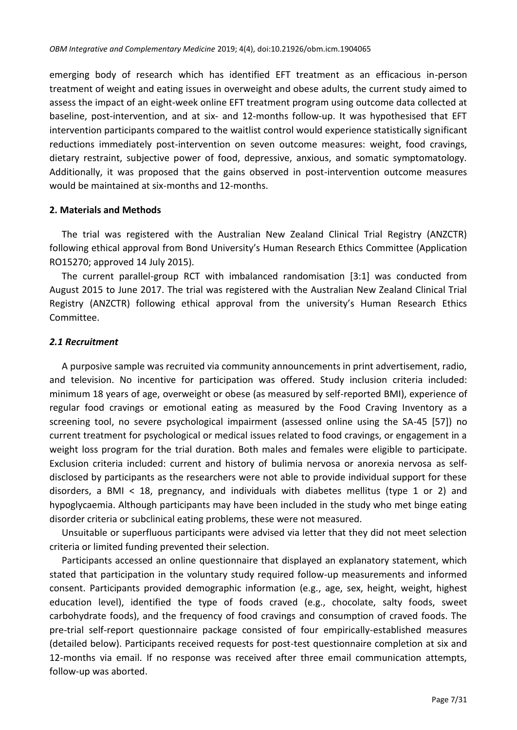emerging body of research which has identified EFT treatment as an efficacious in-person treatment of weight and eating issues in overweight and obese adults, the current study aimed to assess the impact of an eight-week online EFT treatment program using outcome data collected at baseline, post-intervention, and at six- and 12-months follow-up. It was hypothesised that EFT intervention participants compared to the waitlist control would experience statistically significant reductions immediately post-intervention on seven outcome measures: weight, food cravings, dietary restraint, subjective power of food, depressive, anxious, and somatic symptomatology. Additionally, it was proposed that the gains observed in post-intervention outcome measures would be maintained at six-months and 12-months.

#### **2. Materials and Methods**

The trial was registered with the Australian New Zealand Clinical Trial Registry (ANZCTR) following ethical approval from Bond University's Human Research Ethics Committee (Application RO15270; approved 14 July 2015).

The current parallel-group RCT with imbalanced randomisation [3:1] was conducted from August 2015 to June 2017. The trial was registered with the Australian New Zealand Clinical Trial Registry (ANZCTR) following ethical approval from the university's Human Research Ethics Committee.

## *2.1 Recruitment*

A purposive sample was recruited via community announcements in print advertisement, radio, and television. No incentive for participation was offered. Study inclusion criteria included: minimum 18 years of age, overweight or obese (as measured by self-reported BMI), experience of regular food cravings or emotional eating as measured by the Food Craving Inventory as a screening tool, no severe psychological impairment (assessed online using the SA-45 [\[57\]](#page-28-12)) no current treatment for psychological or medical issues related to food cravings, or engagement in a weight loss program for the trial duration. Both males and females were eligible to participate. Exclusion criteria included: current and history of bulimia nervosa or anorexia nervosa as selfdisclosed by participants as the researchers were not able to provide individual support for these disorders, a BMI < 18, pregnancy, and individuals with diabetes mellitus (type 1 or 2) and hypoglycaemia. Although participants may have been included in the study who met binge eating disorder criteria or subclinical eating problems, these were not measured.

Unsuitable or superfluous participants were advised via letter that they did not meet selection criteria or limited funding prevented their selection.

Participants accessed an online questionnaire that displayed an explanatory statement, which stated that participation in the voluntary study required follow-up measurements and informed consent. Participants provided demographic information (e.g., age, sex, height, weight, highest education level), identified the type of foods craved (e.g., chocolate, salty foods, sweet carbohydrate foods), and the frequency of food cravings and consumption of craved foods. The pre-trial self-report questionnaire package consisted of four empirically-established measures (detailed below). Participants received requests for post-test questionnaire completion at six and 12-months via email. If no response was received after three email communication attempts, follow-up was aborted.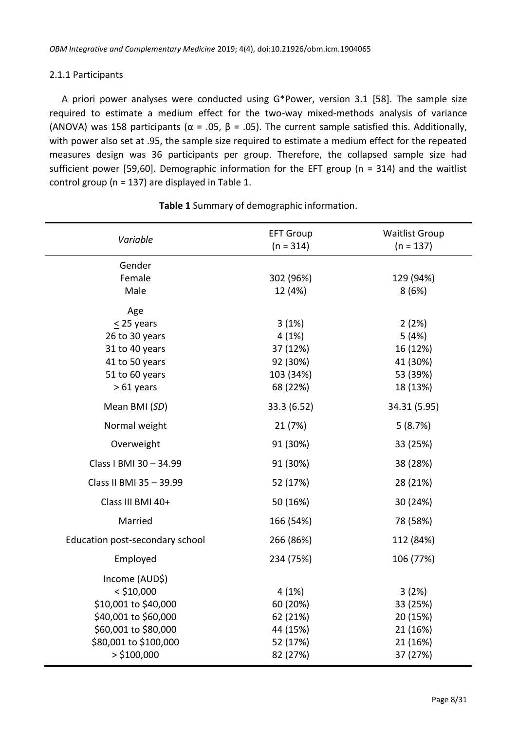## 2.1.1 Participants

A priori power analyses were conducted using G\*Power, version 3.1 [\[58\]](#page-28-13). The sample size required to estimate a medium effect for the two-way mixed-methods analysis of variance (ANOVA) was 158 participants ( $\alpha$  = .05,  $\beta$  = .05). The current sample satisfied this. Additionally, with power also set at .95, the sample size required to estimate a medium effect for the repeated measures design was 36 participants per group. Therefore, the collapsed sample size had sufficient power [\[59](#page-28-14)[,60\]](#page-28-15). Demographic information for the EFT group (n = 314) and the waitlist control group (n = 137) are displayed in Table 1.

| Variable                        | <b>EFT Group</b><br>$(n = 314)$ | <b>Waitlist Group</b><br>$(n = 137)$ |
|---------------------------------|---------------------------------|--------------------------------------|
| Gender                          |                                 |                                      |
| Female                          | 302 (96%)                       | 129 (94%)                            |
| Male                            | 12 (4%)                         | 8(6%)                                |
| Age                             |                                 |                                      |
| $\leq$ 25 years                 | 3(1%)                           | 2(2%)                                |
| 26 to 30 years                  | 4(1%)                           | 5(4%)                                |
| 31 to 40 years                  | 37 (12%)                        | 16 (12%)                             |
| 41 to 50 years                  | 92 (30%)                        | 41 (30%)                             |
| 51 to 60 years                  | 103 (34%)                       | 53 (39%)                             |
| $\geq 61$ years                 | 68 (22%)                        | 18 (13%)                             |
| Mean BMI (SD)                   | 33.3 (6.52)                     | 34.31 (5.95)                         |
| Normal weight                   | 21 (7%)                         | 5(8.7%)                              |
| Overweight                      | 91 (30%)                        | 33 (25%)                             |
| Class I BMI 30 - 34.99          | 91 (30%)                        | 38 (28%)                             |
| Class II BMI 35 - 39.99         | 52 (17%)                        | 28 (21%)                             |
| Class III BMI 40+               | 50 (16%)                        | 30 (24%)                             |
| Married                         | 166 (54%)                       | 78 (58%)                             |
| Education post-secondary school | 266 (86%)                       | 112 (84%)                            |
| Employed                        | 234 (75%)                       | 106 (77%)                            |
| Income (AUD\$)                  |                                 |                                      |
| $<$ \$10,000                    | 4(1%)                           | 3(2%)                                |
| \$10,001 to \$40,000            | 60 (20%)                        | 33 (25%)                             |
| \$40,001 to \$60,000            | 62 (21%)                        | 20 (15%)                             |
| \$60,001 to \$80,000            | 44 (15%)                        | 21 (16%)                             |
| \$80,001 to \$100,000           | 52 (17%)                        | 21 (16%)                             |
| $>$ \$100,000                   | 82 (27%)                        | 37 (27%)                             |

**Table 1** Summary of demographic information.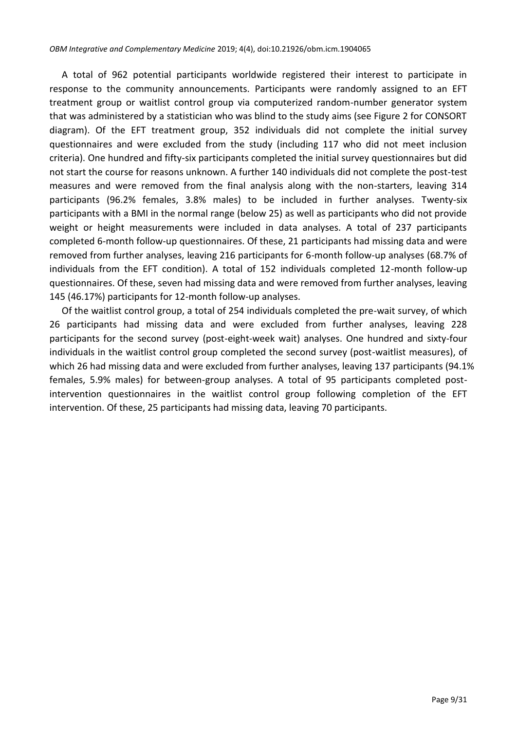A total of 962 potential participants worldwide registered their interest to participate in response to the community announcements. Participants were randomly assigned to an EFT treatment group or waitlist control group via computerized random-number generator system that was administered by a statistician who was blind to the study aims (see Figure 2 for CONSORT diagram). Of the EFT treatment group, 352 individuals did not complete the initial survey questionnaires and were excluded from the study (including 117 who did not meet inclusion criteria). One hundred and fifty-six participants completed the initial survey questionnaires but did not start the course for reasons unknown. A further 140 individuals did not complete the post-test measures and were removed from the final analysis along with the non-starters, leaving 314 participants (96.2% females, 3.8% males) to be included in further analyses. Twenty-six participants with a BMI in the normal range (below 25) as well as participants who did not provide weight or height measurements were included in data analyses. A total of 237 participants completed 6-month follow-up questionnaires. Of these, 21 participants had missing data and were removed from further analyses, leaving 216 participants for 6-month follow-up analyses (68.7% of individuals from the EFT condition). A total of 152 individuals completed 12-month follow-up questionnaires. Of these, seven had missing data and were removed from further analyses, leaving 145 (46.17%) participants for 12-month follow-up analyses.

Of the waitlist control group, a total of 254 individuals completed the pre-wait survey, of which 26 participants had missing data and were excluded from further analyses, leaving 228 participants for the second survey (post-eight-week wait) analyses. One hundred and sixty-four individuals in the waitlist control group completed the second survey (post-waitlist measures), of which 26 had missing data and were excluded from further analyses, leaving 137 participants (94.1% females, 5.9% males) for between-group analyses. A total of 95 participants completed postintervention questionnaires in the waitlist control group following completion of the EFT intervention. Of these, 25 participants had missing data, leaving 70 participants.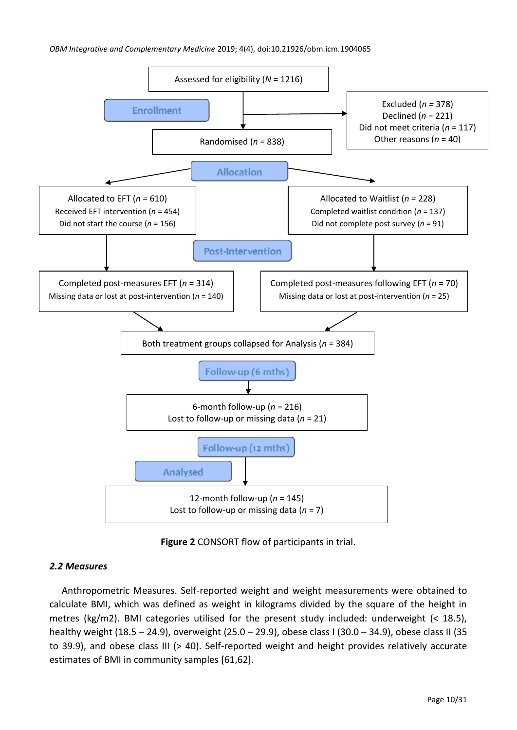#### *OBM Integrative and Complementary Medicine* 2019; 4(4), doi:10.21926/obm.icm.1904065



**Figure 2** CONSORT flow of participants in trial.

# *2.2 Measures*

Anthropometric Measures. Self-reported weight and weight measurements were obtained to calculate BMI, which was defined as weight in kilograms divided by the square of the height in metres (kg/m2). BMI categories utilised for the present study included: underweight (< 18.5), healthy weight (18.5 – 24.9), overweight (25.0 – 29.9), obese class I (30.0 – 34.9), obese class II (35 to 39.9), and obese class III (> 40). Self-reported weight and height provides relatively accurate estimates of BMI in community samples [\[61](#page-28-16)[,62\]](#page-29-0).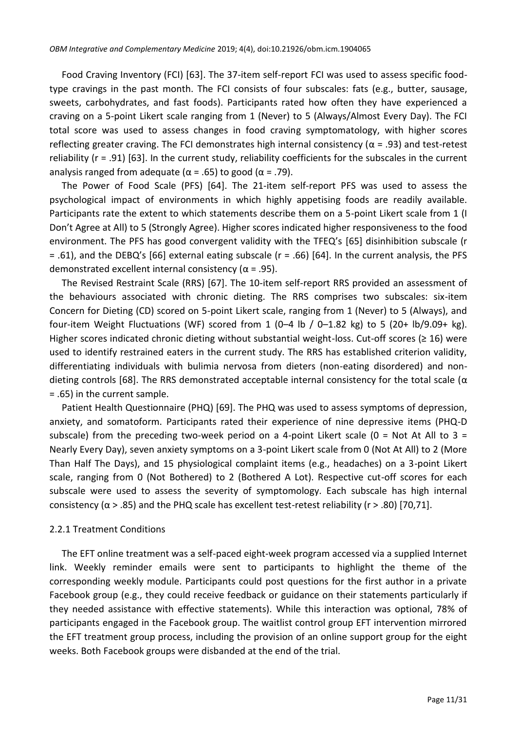Food Craving Inventory (FCI) [\[63\]](#page-29-1). The 37-item self-report FCI was used to assess specific foodtype cravings in the past month. The FCI consists of four subscales: fats (e.g., butter, sausage, sweets, carbohydrates, and fast foods). Participants rated how often they have experienced a craving on a 5-point Likert scale ranging from 1 (Never) to 5 (Always/Almost Every Day). The FCI total score was used to assess changes in food craving symptomatology, with higher scores reflecting greater craving. The FCI demonstrates high internal consistency ( $\alpha$  = .93) and test-retest reliability (r = .91) [\[63\]](#page-29-1). In the current study, reliability coefficients for the subscales in the current analysis ranged from adequate ( $\alpha$  = .65) to good ( $\alpha$  = .79).

The Power of Food Scale (PFS) [\[64\]](#page-29-2). The 21-item self-report PFS was used to assess the psychological impact of environments in which highly appetising foods are readily available. Participants rate the extent to which statements describe them on a 5-point Likert scale from 1 (I Don't Agree at All) to 5 (Strongly Agree). Higher scores indicated higher responsiveness to the food environment. The PFS has good convergent validity with the TFEQ's [\[65\]](#page-29-3) disinhibition subscale (r = .61), and the DEBQ's [\[66\]](#page-29-4) external eating subscale (r = .66) [\[64\]](#page-29-2). In the current analysis, the PFS demonstrated excellent internal consistency ( $\alpha$  = .95).

The Revised Restraint Scale (RRS) [\[67\]](#page-29-5). The 10-item self-report RRS provided an assessment of the behaviours associated with chronic dieting. The RRS comprises two subscales: six-item Concern for Dieting (CD) scored on 5-point Likert scale, ranging from 1 (Never) to 5 (Always), and four-item Weight Fluctuations (WF) scored from 1 (0–4 lb / 0–1.82 kg) to 5 (20+ lb/9.09+ kg). Higher scores indicated chronic dieting without substantial weight-loss. Cut-off scores ( $\geq 16$ ) were used to identify restrained eaters in the current study. The RRS has established criterion validity, differentiating individuals with bulimia nervosa from dieters (non-eating disordered) and non-dieting controls [\[68\]](#page-29-6). The RRS demonstrated acceptable internal consistency for the total scale ( $\alpha$ = .65) in the current sample.

Patient Health Questionnaire (PHQ) [\[69\]](#page-29-7). The PHQ was used to assess symptoms of depression, anxiety, and somatoform. Participants rated their experience of nine depressive items (PHQ-D subscale) from the preceding two-week period on a 4-point Likert scale ( $0 = Not At All to 3 =$ Nearly Every Day), seven anxiety symptoms on a 3-point Likert scale from 0 (Not At All) to 2 (More Than Half The Days), and 15 physiological complaint items (e.g., headaches) on a 3-point Likert scale, ranging from 0 (Not Bothered) to 2 (Bothered A Lot). Respective cut-off scores for each subscale were used to assess the severity of symptomology. Each subscale has high internal consistency ( $\alpha$  > .85) and the PHQ scale has excellent test-retest reliability (r > .80) [\[70](#page-29-8)[,71\]](#page-29-9).

#### 2.2.1 Treatment Conditions

The EFT online treatment was a self-paced eight-week program accessed via a supplied Internet link. Weekly reminder emails were sent to participants to highlight the theme of the corresponding weekly module. Participants could post questions for the first author in a private Facebook group (e.g., they could receive feedback or guidance on their statements particularly if they needed assistance with effective statements). While this interaction was optional, 78% of participants engaged in the Facebook group. The waitlist control group EFT intervention mirrored the EFT treatment group process, including the provision of an online support group for the eight weeks. Both Facebook groups were disbanded at the end of the trial.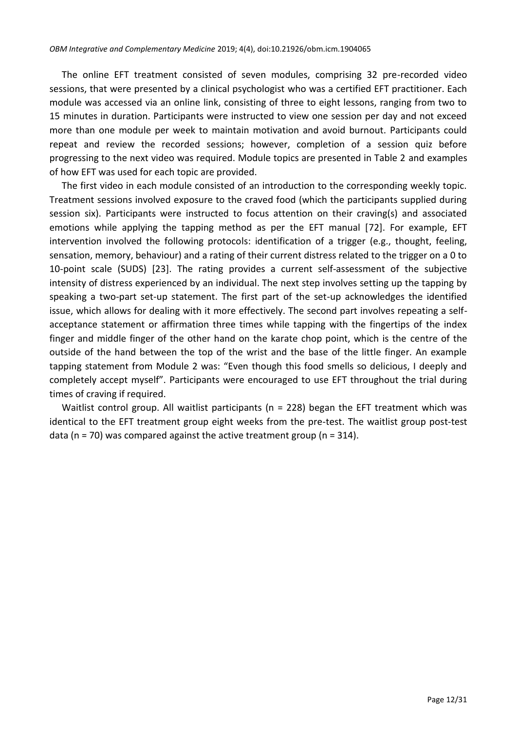The online EFT treatment consisted of seven modules, comprising 32 pre-recorded video sessions, that were presented by a clinical psychologist who was a certified EFT practitioner. Each module was accessed via an online link, consisting of three to eight lessons, ranging from two to 15 minutes in duration. Participants were instructed to view one session per day and not exceed more than one module per week to maintain motivation and avoid burnout. Participants could repeat and review the recorded sessions; however, completion of a session quiz before progressing to the next video was required. Module topics are presented in Table 2 and examples of how EFT was used for each topic are provided.

The first video in each module consisted of an introduction to the corresponding weekly topic. Treatment sessions involved exposure to the craved food (which the participants supplied during session six). Participants were instructed to focus attention on their craving(s) and associated emotions while applying the tapping method as per the EFT manual [\[72\]](#page-29-10). For example, EFT intervention involved the following protocols: identification of a trigger (e.g., thought, feeling, sensation, memory, behaviour) and a rating of their current distress related to the trigger on a 0 to 10-point scale (SUDS) [\[23\]](#page-26-15). The rating provides a current self-assessment of the subjective intensity of distress experienced by an individual. The next step involves setting up the tapping by speaking a two-part set-up statement. The first part of the set-up acknowledges the identified issue, which allows for dealing with it more effectively. The second part involves repeating a selfacceptance statement or affirmation three times while tapping with the fingertips of the index finger and middle finger of the other hand on the karate chop point, which is the centre of the outside of the hand between the top of the wrist and the base of the little finger. An example tapping statement from Module 2 was: "Even though this food smells so delicious, I deeply and completely accept myself". Participants were encouraged to use EFT throughout the trial during times of craving if required.

Waitlist control group. All waitlist participants ( $n = 228$ ) began the EFT treatment which was identical to the EFT treatment group eight weeks from the pre-test. The waitlist group post-test data ( $n = 70$ ) was compared against the active treatment group ( $n = 314$ ).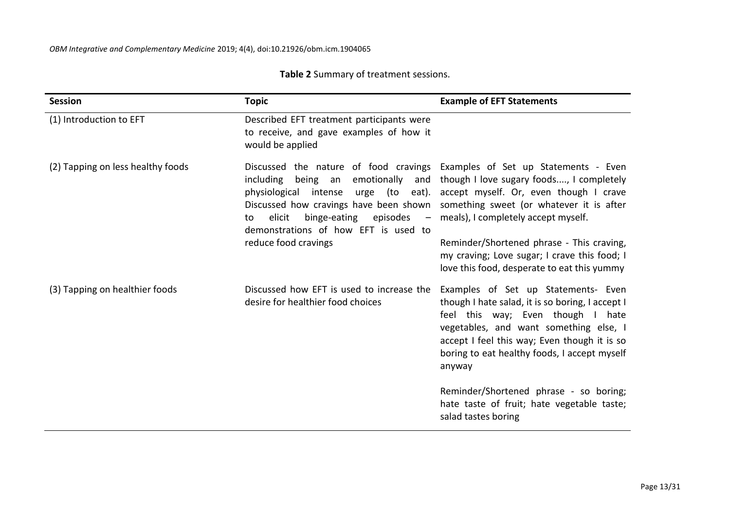| Session                           | <b>Topic</b>                                                                                             | <b>Example of EFT Statements</b>                                                                                                                                                                                                                                                                                                                                                                                                                                                        |
|-----------------------------------|----------------------------------------------------------------------------------------------------------|-----------------------------------------------------------------------------------------------------------------------------------------------------------------------------------------------------------------------------------------------------------------------------------------------------------------------------------------------------------------------------------------------------------------------------------------------------------------------------------------|
| (1) Introduction to EFT           | Described EFT treatment participants were<br>to receive, and gave examples of how it<br>would be applied |                                                                                                                                                                                                                                                                                                                                                                                                                                                                                         |
| (2) Tapping on less healthy foods | elicit<br>to<br>demonstrations of how EFT is used to<br>reduce food cravings                             | Discussed the nature of food cravings Examples of Set up Statements - Even<br>including being an emotionally and though I love sugary foods, I completely<br>physiological intense urge (to eat). accept myself. Or, even though I crave<br>Discussed how cravings have been shown something sweet (or whatever it is after<br>binge-eating episodes - meals), I completely accept myself.<br>Reminder/Shortened phrase - This craving,<br>my craving; Love sugar; I crave this food; I |
| (3) Tapping on healthier foods    | Discussed how EFT is used to increase the<br>desire for healthier food choices                           | love this food, desperate to eat this yummy<br>Examples of Set up Statements- Even<br>though I hate salad, it is so boring, I accept I<br>feel this way; Even though I hate<br>vegetables, and want something else, I<br>accept I feel this way; Even though it is so<br>boring to eat healthy foods, I accept myself<br>anyway                                                                                                                                                         |

# **Table 2** Summary of treatment sessions.

Reminder/Shortened phrase - so boring; hate taste of fruit; hate vegetable taste; salad tastes boring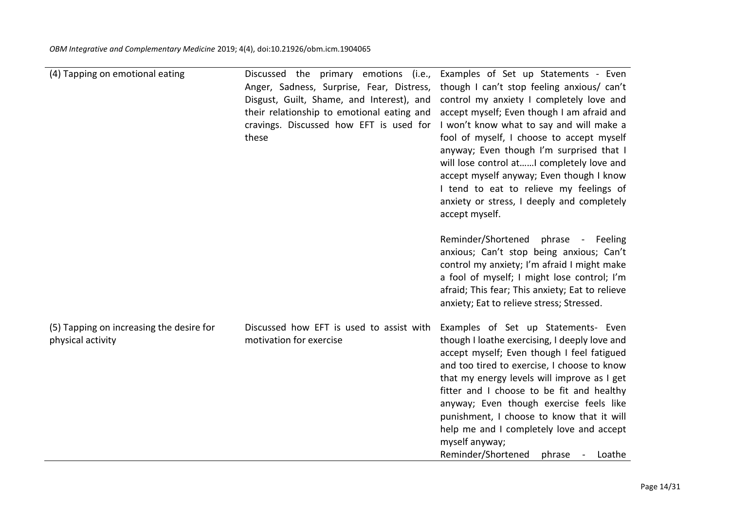| (4) Tapping on emotional eating                               | Discussed the primary emotions (i.e.,<br>Anger, Sadness, Surprise, Fear, Distress,<br>Disgust, Guilt, Shame, and Interest), and<br>their relationship to emotional eating and<br>cravings. Discussed how EFT is used for<br>these | Examples of Set up Statements - Even<br>though I can't stop feeling anxious/ can't<br>control my anxiety I completely love and<br>accept myself; Even though I am afraid and<br>I won't know what to say and will make a<br>fool of myself, I choose to accept myself<br>anyway; Even though I'm surprised that I<br>will lose control atI completely love and<br>accept myself anyway; Even though I know<br>I tend to eat to relieve my feelings of<br>anxiety or stress, I deeply and completely<br>accept myself. |
|---------------------------------------------------------------|-----------------------------------------------------------------------------------------------------------------------------------------------------------------------------------------------------------------------------------|-----------------------------------------------------------------------------------------------------------------------------------------------------------------------------------------------------------------------------------------------------------------------------------------------------------------------------------------------------------------------------------------------------------------------------------------------------------------------------------------------------------------------|
|                                                               |                                                                                                                                                                                                                                   | Reminder/Shortened<br>phrase - Feeling<br>anxious; Can't stop being anxious; Can't<br>control my anxiety; I'm afraid I might make<br>a fool of myself; I might lose control; I'm<br>afraid; This fear; This anxiety; Eat to relieve<br>anxiety; Eat to relieve stress; Stressed.                                                                                                                                                                                                                                      |
| (5) Tapping on increasing the desire for<br>physical activity | Discussed how EFT is used to assist with<br>motivation for exercise                                                                                                                                                               | Examples of Set up Statements- Even<br>though I loathe exercising, I deeply love and<br>accept myself; Even though I feel fatigued<br>and too tired to exercise, I choose to know<br>that my energy levels will improve as I get<br>fitter and I choose to be fit and healthy<br>anyway; Even though exercise feels like<br>punishment, I choose to know that it will<br>help me and I completely love and accept<br>myself anyway;<br>Reminder/Shortened<br>phrase<br>Loathe                                         |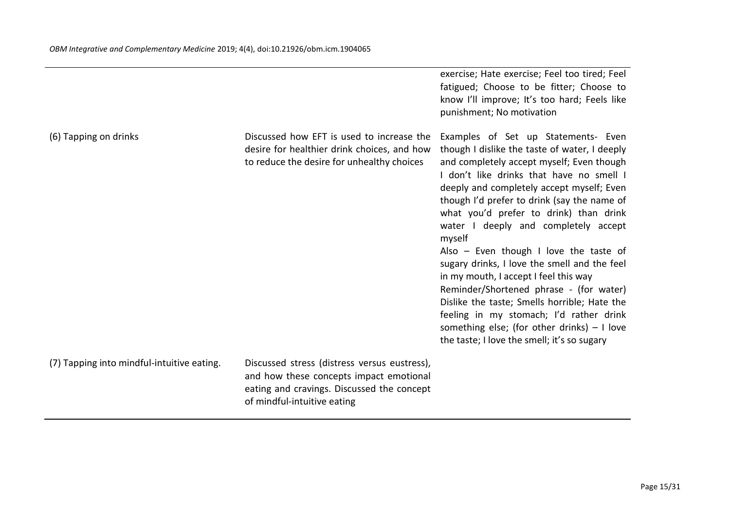|                                            |                                                                                                                                                                      | exercise; Hate exercise; Feel too tired; Feel<br>fatigued; Choose to be fitter; Choose to<br>know I'll improve; It's too hard; Feels like<br>punishment; No motivation                                                                                                                                                                                                                                                                                                                                                                                                                                                                                                                                                                          |
|--------------------------------------------|----------------------------------------------------------------------------------------------------------------------------------------------------------------------|-------------------------------------------------------------------------------------------------------------------------------------------------------------------------------------------------------------------------------------------------------------------------------------------------------------------------------------------------------------------------------------------------------------------------------------------------------------------------------------------------------------------------------------------------------------------------------------------------------------------------------------------------------------------------------------------------------------------------------------------------|
| (6) Tapping on drinks                      | Discussed how EFT is used to increase the<br>desire for healthier drink choices, and how<br>to reduce the desire for unhealthy choices                               | Examples of Set up Statements- Even<br>though I dislike the taste of water, I deeply<br>and completely accept myself; Even though<br>I don't like drinks that have no smell I<br>deeply and completely accept myself; Even<br>though I'd prefer to drink (say the name of<br>what you'd prefer to drink) than drink<br>water I deeply and completely accept<br>myself<br>Also $-$ Even though I love the taste of<br>sugary drinks, I love the smell and the feel<br>in my mouth, I accept I feel this way<br>Reminder/Shortened phrase - (for water)<br>Dislike the taste; Smells horrible; Hate the<br>feeling in my stomach; I'd rather drink<br>something else; (for other drinks) $-1$ love<br>the taste; I love the smell; it's so sugary |
| (7) Tapping into mindful-intuitive eating. | Discussed stress (distress versus eustress),<br>and how these concepts impact emotional<br>eating and cravings. Discussed the concept<br>of mindful-intuitive eating |                                                                                                                                                                                                                                                                                                                                                                                                                                                                                                                                                                                                                                                                                                                                                 |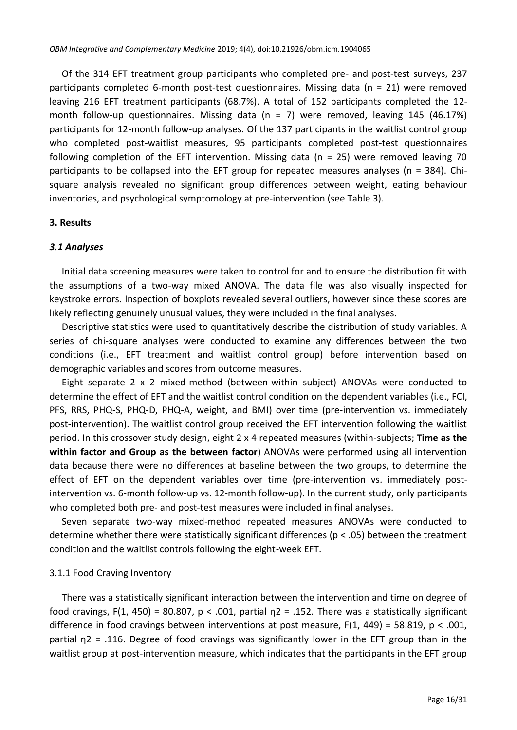Of the 314 EFT treatment group participants who completed pre- and post-test surveys, 237 participants completed 6-month post-test questionnaires. Missing data (n = 21) were removed leaving 216 EFT treatment participants (68.7%). A total of 152 participants completed the 12 month follow-up questionnaires. Missing data  $(n = 7)$  were removed, leaving 145 (46.17%) participants for 12-month follow-up analyses. Of the 137 participants in the waitlist control group who completed post-waitlist measures, 95 participants completed post-test questionnaires following completion of the EFT intervention. Missing data (n = 25) were removed leaving 70 participants to be collapsed into the EFT group for repeated measures analyses (n = 384). Chisquare analysis revealed no significant group differences between weight, eating behaviour inventories, and psychological symptomology at pre-intervention (see Table 3).

## **3. Results**

## *3.1 Analyses*

Initial data screening measures were taken to control for and to ensure the distribution fit with the assumptions of a two-way mixed ANOVA. The data file was also visually inspected for keystroke errors. Inspection of boxplots revealed several outliers, however since these scores are likely reflecting genuinely unusual values, they were included in the final analyses.

Descriptive statistics were used to quantitatively describe the distribution of study variables. A series of chi-square analyses were conducted to examine any differences between the two conditions (i.e., EFT treatment and waitlist control group) before intervention based on demographic variables and scores from outcome measures.

Eight separate 2 x 2 mixed-method (between-within subject) ANOVAs were conducted to determine the effect of EFT and the waitlist control condition on the dependent variables (i.e., FCI, PFS, RRS, PHQ-S, PHQ-D, PHQ-A, weight, and BMI) over time (pre-intervention vs. immediately post-intervention). The waitlist control group received the EFT intervention following the waitlist period. In this crossover study design, eight 2 x 4 repeated measures (within-subjects; **Time as the within factor and Group as the between factor**) ANOVAs were performed using all intervention data because there were no differences at baseline between the two groups, to determine the effect of EFT on the dependent variables over time (pre-intervention vs. immediately postintervention vs. 6-month follow-up vs. 12-month follow-up). In the current study, only participants who completed both pre- and post-test measures were included in final analyses.

Seven separate two-way mixed-method repeated measures ANOVAs were conducted to determine whether there were statistically significant differences (p < .05) between the treatment condition and the waitlist controls following the eight-week EFT.

# 3.1.1 Food Craving Inventory

There was a statistically significant interaction between the intervention and time on degree of food cravings, F(1, 450) = 80.807, p < .001, partial  $n^2$  = .152. There was a statistically significant difference in food cravings between interventions at post measure,  $F(1, 449) = 58.819$ , p < .001, partial η2 = .116. Degree of food cravings was significantly lower in the EFT group than in the waitlist group at post-intervention measure, which indicates that the participants in the EFT group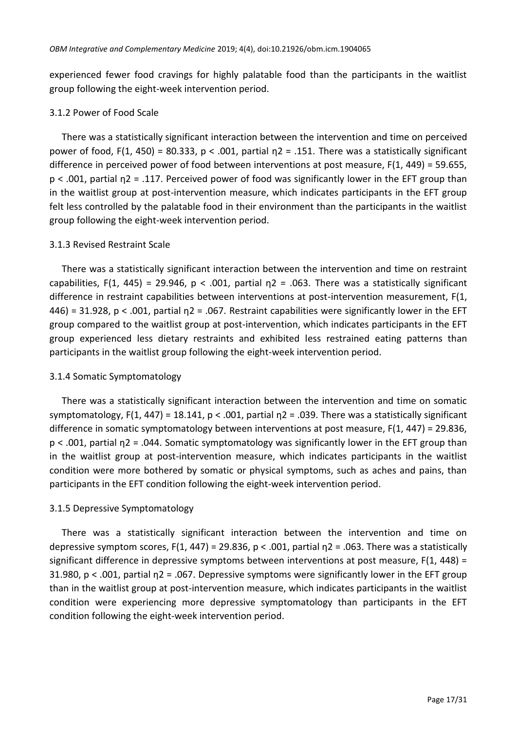experienced fewer food cravings for highly palatable food than the participants in the waitlist group following the eight-week intervention period.

#### 3.1.2 Power of Food Scale

There was a statistically significant interaction between the intervention and time on perceived power of food, F(1, 450) = 80.333,  $p < .001$ , partial  $p2 = .151$ . There was a statistically significant difference in perceived power of food between interventions at post measure, F(1, 449) = 59.655, p < .001, partial η2 = .117. Perceived power of food was significantly lower in the EFT group than in the waitlist group at post-intervention measure, which indicates participants in the EFT group felt less controlled by the palatable food in their environment than the participants in the waitlist group following the eight-week intervention period.

## 3.1.3 Revised Restraint Scale

There was a statistically significant interaction between the intervention and time on restraint capabilities, F(1, 445) = 29.946, p < .001, partial  $\eta$ 2 = .063. There was a statistically significant difference in restraint capabilities between interventions at post-intervention measurement, F(1, 446) = 31.928, p < .001, partial η2 = .067. Restraint capabilities were significantly lower in the EFT group compared to the waitlist group at post-intervention, which indicates participants in the EFT group experienced less dietary restraints and exhibited less restrained eating patterns than participants in the waitlist group following the eight-week intervention period.

# 3.1.4 Somatic Symptomatology

There was a statistically significant interaction between the intervention and time on somatic symptomatology, F(1, 447) = 18.141, p < .001, partial  $n^2$  = .039. There was a statistically significant difference in somatic symptomatology between interventions at post measure, F(1, 447) = 29.836, p < .001, partial η2 = .044. Somatic symptomatology was significantly lower in the EFT group than in the waitlist group at post-intervention measure, which indicates participants in the waitlist condition were more bothered by somatic or physical symptoms, such as aches and pains, than participants in the EFT condition following the eight-week intervention period.

# 3.1.5 Depressive Symptomatology

There was a statistically significant interaction between the intervention and time on depressive symptom scores, F(1, 447) = 29.836, p < .001, partial  $n^2$  = .063. There was a statistically significant difference in depressive symptoms between interventions at post measure,  $F(1, 448) =$ 31.980, p < .001, partial η2 = .067. Depressive symptoms were significantly lower in the EFT group than in the waitlist group at post-intervention measure, which indicates participants in the waitlist condition were experiencing more depressive symptomatology than participants in the EFT condition following the eight-week intervention period.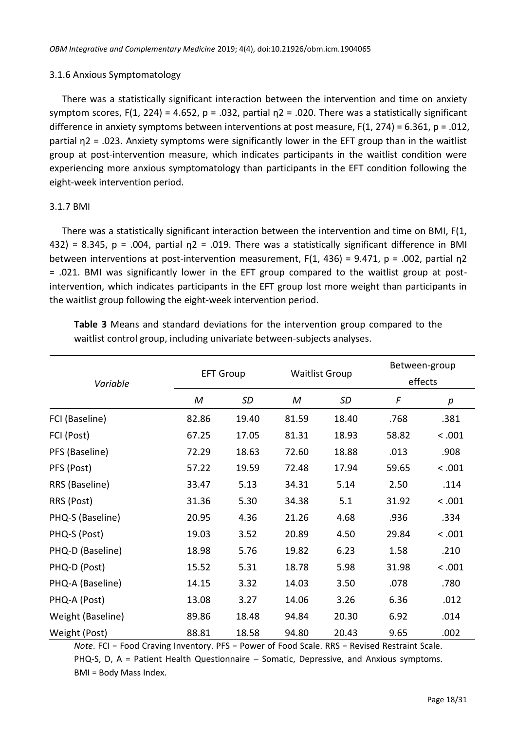## 3.1.6 Anxious Symptomatology

There was a statistically significant interaction between the intervention and time on anxiety symptom scores, F(1, 224) = 4.652, p = .032, partial  $n^2$  = .020. There was a statistically significant difference in anxiety symptoms between interventions at post measure, F(1, 274) = 6.361, p = .012, partial  $n^2$  = .023. Anxiety symptoms were significantly lower in the EFT group than in the waitlist group at post-intervention measure, which indicates participants in the waitlist condition were experiencing more anxious symptomatology than participants in the EFT condition following the eight-week intervention period.

# 3.1.7 BMI

There was a statistically significant interaction between the intervention and time on BMI, F(1, 432) = 8.345, p = .004, partial  $n^2$  = .019. There was a statistically significant difference in BMI between interventions at post-intervention measurement,  $F(1, 436) = 9.471$ , p = .002, partial  $n^2$ = .021. BMI was significantly lower in the EFT group compared to the waitlist group at postintervention, which indicates participants in the EFT group lost more weight than participants in the waitlist group following the eight-week intervention period.

| Variable          | <b>EFT Group</b> |           |       | <b>Waitlist Group</b> |       | Between-group<br>effects |  |
|-------------------|------------------|-----------|-------|-----------------------|-------|--------------------------|--|
|                   | Μ                | <b>SD</b> | M     | SD                    | F     | p                        |  |
| FCI (Baseline)    | 82.86            | 19.40     | 81.59 | 18.40                 | .768  | .381                     |  |
| FCI (Post)        | 67.25            | 17.05     | 81.31 | 18.93                 | 58.82 | < .001                   |  |
| PFS (Baseline)    | 72.29            | 18.63     | 72.60 | 18.88                 | .013  | .908                     |  |
| PFS (Post)        | 57.22            | 19.59     | 72.48 | 17.94                 | 59.65 | < .001                   |  |
| RRS (Baseline)    | 33.47            | 5.13      | 34.31 | 5.14                  | 2.50  | .114                     |  |
| RRS (Post)        | 31.36            | 5.30      | 34.38 | 5.1                   | 31.92 | < .001                   |  |
| PHQ-S (Baseline)  | 20.95            | 4.36      | 21.26 | 4.68                  | .936  | .334                     |  |
| PHQ-S (Post)      | 19.03            | 3.52      | 20.89 | 4.50                  | 29.84 | < .001                   |  |
| PHQ-D (Baseline)  | 18.98            | 5.76      | 19.82 | 6.23                  | 1.58  | .210                     |  |
| PHQ-D (Post)      | 15.52            | 5.31      | 18.78 | 5.98                  | 31.98 | < .001                   |  |
| PHQ-A (Baseline)  | 14.15            | 3.32      | 14.03 | 3.50                  | .078  | .780                     |  |
| PHQ-A (Post)      | 13.08            | 3.27      | 14.06 | 3.26                  | 6.36  | .012                     |  |
| Weight (Baseline) | 89.86            | 18.48     | 94.84 | 20.30                 | 6.92  | .014                     |  |
| Weight (Post)     | 88.81            | 18.58     | 94.80 | 20.43                 | 9.65  | .002                     |  |

**Table 3** Means and standard deviations for the intervention group compared to the waitlist control group, including univariate between-subjects analyses.

*Note*. FCI = Food Craving Inventory. PFS = Power of Food Scale. RRS = Revised Restraint Scale. PHQ-S, D, A = Patient Health Questionnaire – Somatic, Depressive, and Anxious symptoms. BMI = Body Mass Index.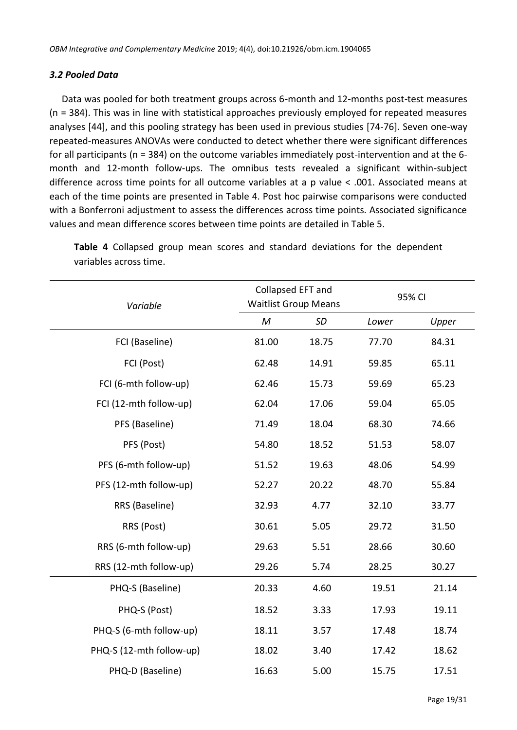# *3.2 Pooled Data*

Data was pooled for both treatment groups across 6-month and 12-months post-test measures (n = 384). This was in line with statistical approaches previously employed for repeated measures analyses [\[44\]](#page-28-0), and this pooling strategy has been used in previous studies [\[74](#page-29-11)[-76\]](#page-29-12). Seven one-way repeated-measures ANOVAs were conducted to detect whether there were significant differences for all participants (n = 384) on the outcome variables immediately post-intervention and at the 6 month and 12-month follow-ups. The omnibus tests revealed a significant within-subject difference across time points for all outcome variables at a p value < .001. Associated means at each of the time points are presented in Table 4. Post hoc pairwise comparisons were conducted with a Bonferroni adjustment to assess the differences across time points. Associated significance values and mean difference scores between time points are detailed in Table 5.

| Variable                 | Collapsed EFT and<br><b>Waitlist Group Means</b> |           | 95% CI |       |
|--------------------------|--------------------------------------------------|-----------|--------|-------|
|                          | M                                                | <b>SD</b> | Lower  | Upper |
| FCI (Baseline)           | 81.00                                            | 18.75     | 77.70  | 84.31 |
| FCI (Post)               | 62.48                                            | 14.91     | 59.85  | 65.11 |
| FCI (6-mth follow-up)    | 62.46                                            | 15.73     | 59.69  | 65.23 |
| FCI (12-mth follow-up)   | 62.04                                            | 17.06     | 59.04  | 65.05 |
| PFS (Baseline)           | 71.49                                            | 18.04     | 68.30  | 74.66 |
| PFS (Post)               | 54.80                                            | 18.52     | 51.53  | 58.07 |
| PFS (6-mth follow-up)    | 51.52                                            | 19.63     | 48.06  | 54.99 |
| PFS (12-mth follow-up)   | 52.27                                            | 20.22     | 48.70  | 55.84 |
| RRS (Baseline)           | 32.93                                            | 4.77      | 32.10  | 33.77 |
| RRS (Post)               | 30.61                                            | 5.05      | 29.72  | 31.50 |
| RRS (6-mth follow-up)    | 29.63                                            | 5.51      | 28.66  | 30.60 |
| RRS (12-mth follow-up)   | 29.26                                            | 5.74      | 28.25  | 30.27 |
| PHQ-S (Baseline)         | 20.33                                            | 4.60      | 19.51  | 21.14 |
| PHQ-S (Post)             | 18.52                                            | 3.33      | 17.93  | 19.11 |
| PHQ-S (6-mth follow-up)  | 18.11                                            | 3.57      | 17.48  | 18.74 |
| PHQ-S (12-mth follow-up) | 18.02                                            | 3.40      | 17.42  | 18.62 |
| PHQ-D (Baseline)         | 16.63                                            | 5.00      | 15.75  | 17.51 |

**Table 4** Collapsed group mean scores and standard deviations for the dependent variables across time.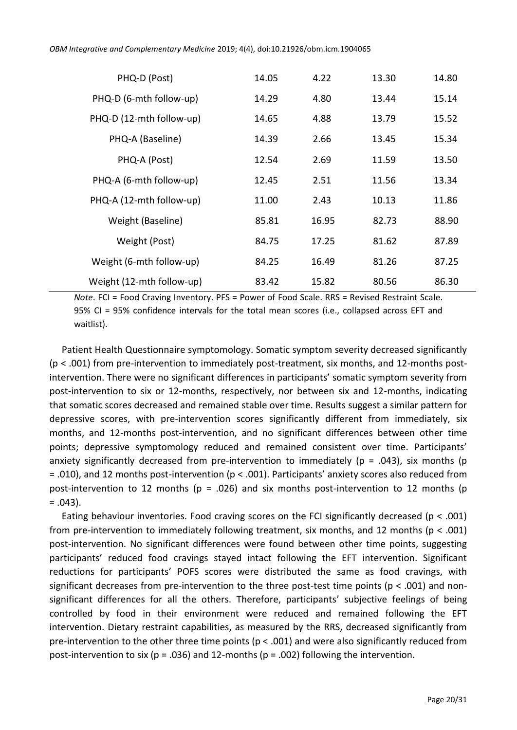| PHQ-D (Post)              | 14.05 | 4.22  | 13.30 | 14.80 |
|---------------------------|-------|-------|-------|-------|
| PHQ-D (6-mth follow-up)   | 14.29 | 4.80  | 13.44 | 15.14 |
| PHQ-D (12-mth follow-up)  | 14.65 | 4.88  | 13.79 | 15.52 |
| PHQ-A (Baseline)          | 14.39 | 2.66  | 13.45 | 15.34 |
| PHQ-A (Post)              | 12.54 | 2.69  | 11.59 | 13.50 |
| PHQ-A (6-mth follow-up)   | 12.45 | 2.51  | 11.56 | 13.34 |
| PHQ-A (12-mth follow-up)  | 11.00 | 2.43  | 10.13 | 11.86 |
| Weight (Baseline)         | 85.81 | 16.95 | 82.73 | 88.90 |
| Weight (Post)             | 84.75 | 17.25 | 81.62 | 87.89 |
| Weight (6-mth follow-up)  | 84.25 | 16.49 | 81.26 | 87.25 |
| Weight (12-mth follow-up) | 83.42 | 15.82 | 80.56 | 86.30 |

*Note*. FCI = Food Craving Inventory. PFS = Power of Food Scale. RRS = Revised Restraint Scale. 95% CI = 95% confidence intervals for the total mean scores (i.e., collapsed across EFT and waitlist).

Patient Health Questionnaire symptomology. Somatic symptom severity decreased significantly (p < .001) from pre-intervention to immediately post-treatment, six months, and 12-months postintervention. There were no significant differences in participants' somatic symptom severity from post-intervention to six or 12-months, respectively, nor between six and 12-months, indicating that somatic scores decreased and remained stable over time. Results suggest a similar pattern for depressive scores, with pre-intervention scores significantly different from immediately, six months, and 12-months post-intervention, and no significant differences between other time points; depressive symptomology reduced and remained consistent over time. Participants' anxiety significantly decreased from pre-intervention to immediately ( $p = .043$ ), six months ( $p$ = .010), and 12 months post-intervention (p < .001). Participants' anxiety scores also reduced from post-intervention to 12 months ( $p = .026$ ) and six months post-intervention to 12 months ( $p$  $= .043$ ).

Eating behaviour inventories. Food craving scores on the FCI significantly decreased (p < .001) from pre-intervention to immediately following treatment, six months, and 12 months ( $p < .001$ ) post-intervention. No significant differences were found between other time points, suggesting participants' reduced food cravings stayed intact following the EFT intervention. Significant reductions for participants' POFS scores were distributed the same as food cravings, with significant decreases from pre-intervention to the three post-test time points ( $p < .001$ ) and nonsignificant differences for all the others. Therefore, participants' subjective feelings of being controlled by food in their environment were reduced and remained following the EFT intervention. Dietary restraint capabilities, as measured by the RRS, decreased significantly from pre-intervention to the other three time points ( $p < .001$ ) and were also significantly reduced from post-intervention to six ( $p = .036$ ) and 12-months ( $p = .002$ ) following the intervention.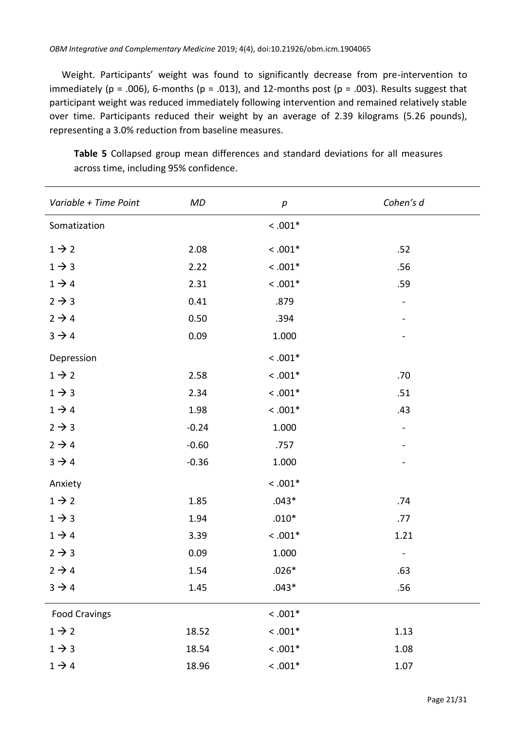Weight. Participants' weight was found to significantly decrease from pre-intervention to immediately (p = .006), 6-months (p = .013), and 12-months post (p = .003). Results suggest that participant weight was reduced immediately following intervention and remained relatively stable over time. Participants reduced their weight by an average of 2.39 kilograms (5.26 pounds), representing a 3.0% reduction from baseline measures.

| Variable + Time Point | MD      | $\boldsymbol{p}$ | Cohen's d |
|-----------------------|---------|------------------|-----------|
| Somatization          |         | $< .001*$        |           |
| $1 \rightarrow 2$     | 2.08    | $< .001*$        | .52       |
| $1 \rightarrow 3$     | 2.22    | $< .001*$        | .56       |
| $1 \rightarrow 4$     | 2.31    | $< .001*$        | .59       |
| $2 \rightarrow 3$     | 0.41    | .879             |           |
| $2 \rightarrow 4$     | 0.50    | .394             |           |
| $3 \rightarrow 4$     | 0.09    | 1.000            |           |
| Depression            |         | $< .001*$        |           |
| $1 \rightarrow 2$     | 2.58    | $< .001*$        | .70       |
| $1 \rightarrow 3$     | 2.34    | $< .001*$        | .51       |
| $1 \rightarrow 4$     | 1.98    | $< .001*$        | .43       |
| $2 \rightarrow 3$     | $-0.24$ | 1.000            |           |
| $2 \rightarrow 4$     | $-0.60$ | .757             |           |
| $3 \rightarrow 4$     | $-0.36$ | 1.000            |           |
| Anxiety               |         | $< .001*$        |           |
| $1 \rightarrow 2$     | 1.85    | $.043*$          | .74       |
| $1 \rightarrow 3$     | 1.94    | $.010*$          | .77       |
| $1 \rightarrow 4$     | 3.39    | $< .001*$        | 1.21      |
| $2 \rightarrow 3$     | 0.09    | 1.000            |           |
| $2 \rightarrow 4$     | 1.54    | $.026*$          | .63       |
| $3 \rightarrow 4$     | 1.45    | $.043*$          | .56       |
| <b>Food Cravings</b>  |         | $< .001*$        |           |
| $1 \rightarrow 2$     | 18.52   | $<.001^{\ast}$   | 1.13      |
| $1 \rightarrow 3$     | 18.54   | $< .001*$        | 1.08      |
| $1 \rightarrow 4$     | 18.96   | $< .001*$        | 1.07      |

**Table 5** Collapsed group mean differences and standard deviations for all measures across time, including 95% confidence.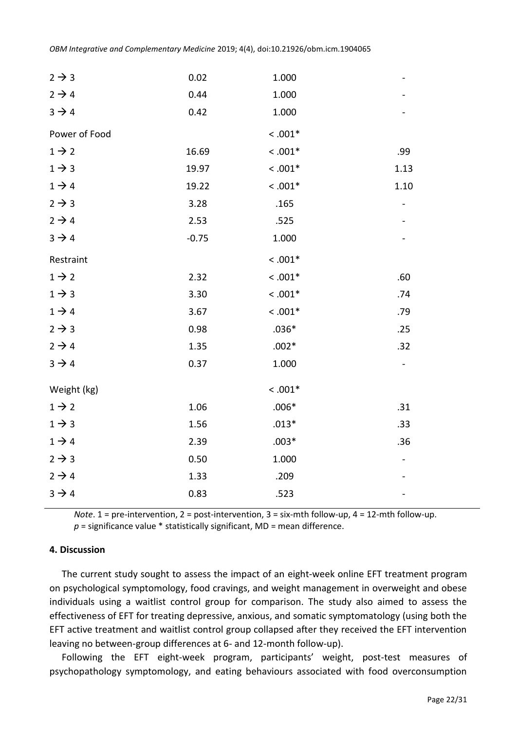| $2 \rightarrow 3$ | 0.02    | 1.000     |      |
|-------------------|---------|-----------|------|
| $2 \rightarrow 4$ | 0.44    | 1.000     |      |
| $3 \rightarrow 4$ | 0.42    | 1.000     |      |
| Power of Food     |         | $< .001*$ |      |
| $1 \rightarrow 2$ | 16.69   | $< .001*$ | .99  |
| $1 \rightarrow 3$ | 19.97   | $< .001*$ | 1.13 |
| $1 \rightarrow 4$ | 19.22   | $< .001*$ | 1.10 |
| $2 \rightarrow 3$ | 3.28    | .165      |      |
| $2 \rightarrow 4$ | 2.53    | .525      |      |
| $3 \rightarrow 4$ | $-0.75$ | 1.000     |      |
| Restraint         |         | $< .001*$ |      |
| $1 \rightarrow 2$ | 2.32    | $< .001*$ | .60  |
| $1 \rightarrow 3$ | 3.30    | $< .001*$ | .74  |
| $1 \rightarrow 4$ | 3.67    | $< .001*$ | .79  |
| $2 \rightarrow 3$ | 0.98    | $.036*$   | .25  |
| $2 \rightarrow 4$ | 1.35    | $.002*$   | .32  |
| $3 \rightarrow 4$ | 0.37    | 1.000     |      |
| Weight (kg)       |         | $< .001*$ |      |
| $1 \rightarrow 2$ | 1.06    | $.006*$   | .31  |
| $1 \rightarrow 3$ | 1.56    | $.013*$   | .33  |
| $1 \rightarrow 4$ | 2.39    | $.003*$   | .36  |
| $2 \rightarrow 3$ | 0.50    | 1.000     |      |
| $2 \rightarrow 4$ | 1.33    | .209      |      |
| $3 \rightarrow 4$ | 0.83    | .523      |      |

*Note*. 1 = pre-intervention, 2 = post-intervention, 3 = six-mth follow-up, 4 = 12-mth follow-up.

 $p$  = significance value  $*$  statistically significant, MD = mean difference.

#### **4. Discussion**

The current study sought to assess the impact of an eight-week online EFT treatment program on psychological symptomology, food cravings, and weight management in overweight and obese individuals using a waitlist control group for comparison. The study also aimed to assess the effectiveness of EFT for treating depressive, anxious, and somatic symptomatology (using both the EFT active treatment and waitlist control group collapsed after they received the EFT intervention leaving no between-group differences at 6- and 12-month follow-up).

Following the EFT eight-week program, participants' weight, post-test measures of psychopathology symptomology, and eating behaviours associated with food overconsumption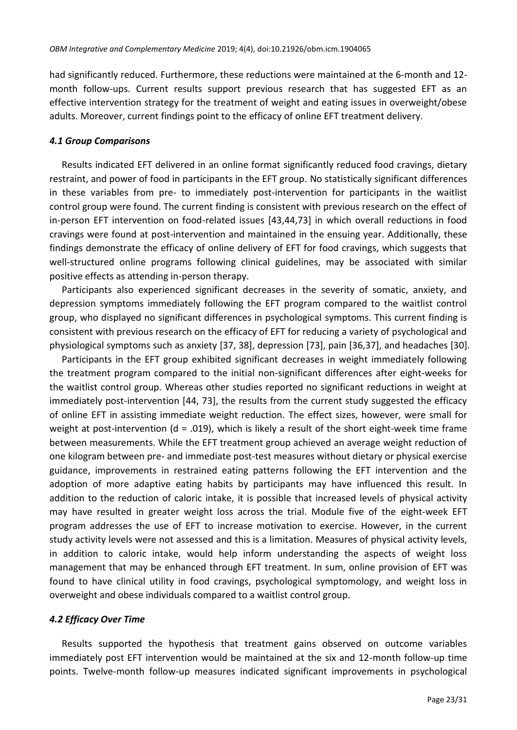had significantly reduced. Furthermore, these reductions were maintained at the 6-month and 12 month follow-ups. Current results support previous research that has suggested EFT as an effective intervention strategy for the treatment of weight and eating issues in overweight/obese adults. Moreover, current findings point to the efficacy of online EFT treatment delivery.

## *4.1 Group Comparisons*

Results indicated EFT delivered in an online format significantly reduced food cravings, dietary restraint, and power of food in participants in the EFT group. No statistically significant differences in these variables from pre- to immediately post-intervention for participants in the waitlist control group were found. The current finding is consistent with previous research on the effect of in-person EFT intervention on food-related issues [\[43,](#page-27-13)[44](#page-28-0)[,73\]](#page-29-13) in which overall reductions in food cravings were found at post-intervention and maintained in the ensuing year. Additionally, these findings demonstrate the efficacy of online delivery of EFT for food cravings, which suggests that well-structured online programs following clinical guidelines, may be associated with similar positive effects as attending in-person therapy.

Participants also experienced significant decreases in the severity of somatic, anxiety, and depression symptoms immediately following the EFT program compared to the waitlist control group, who displayed no significant differences in psychological symptoms. This current finding is consistent with previous research on the efficacy of EFT for reducing a variety of psychological and physiological symptoms such as anxiety [37, 38], depression [\[73\]](#page-29-13), pain [\[36](#page-27-7)[,37\]](#page-27-8), and headaches [\[30\]](#page-27-14).

Participants in the EFT group exhibited significant decreases in weight immediately following the treatment program compared to the initial non-significant differences after eight-weeks for the waitlist control group. Whereas other studies reported no significant reductions in weight at immediately post-intervention [\[44,](#page-28-0) [73\]](#page-29-13), the results from the current study suggested the efficacy of online EFT in assisting immediate weight reduction. The effect sizes, however, were small for weight at post-intervention ( $d = .019$ ), which is likely a result of the short eight-week time frame between measurements. While the EFT treatment group achieved an average weight reduction of one kilogram between pre- and immediate post-test measures without dietary or physical exercise guidance, improvements in restrained eating patterns following the EFT intervention and the adoption of more adaptive eating habits by participants may have influenced this result. In addition to the reduction of caloric intake, it is possible that increased levels of physical activity may have resulted in greater weight loss across the trial. Module five of the eight-week EFT program addresses the use of EFT to increase motivation to exercise. However, in the current study activity levels were not assessed and this is a limitation. Measures of physical activity levels, in addition to caloric intake, would help inform understanding the aspects of weight loss management that may be enhanced through EFT treatment. In sum, online provision of EFT was found to have clinical utility in food cravings, psychological symptomology, and weight loss in overweight and obese individuals compared to a waitlist control group.

# *4.2 Efficacy Over Time*

Results supported the hypothesis that treatment gains observed on outcome variables immediately post EFT intervention would be maintained at the six and 12-month follow-up time points. Twelve-month follow-up measures indicated significant improvements in psychological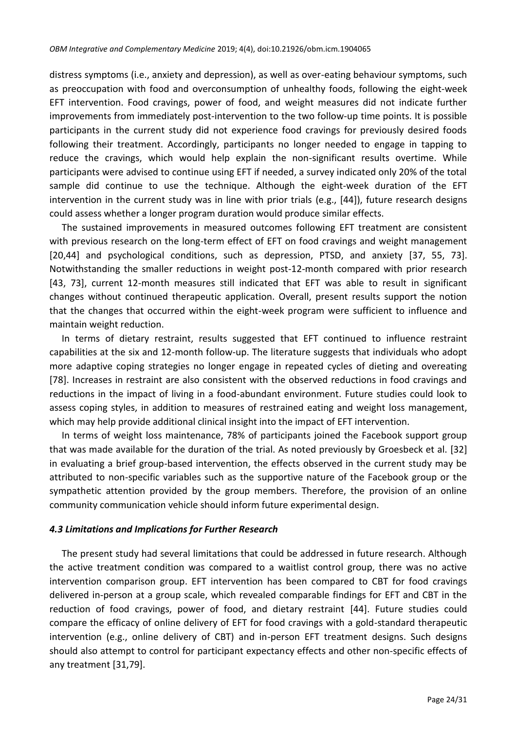distress symptoms (i.e., anxiety and depression), as well as over-eating behaviour symptoms, such as preoccupation with food and overconsumption of unhealthy foods, following the eight-week EFT intervention. Food cravings, power of food, and weight measures did not indicate further improvements from immediately post-intervention to the two follow-up time points. It is possible participants in the current study did not experience food cravings for previously desired foods following their treatment. Accordingly, participants no longer needed to engage in tapping to reduce the cravings, which would help explain the non-significant results overtime. While participants were advised to continue using EFT if needed, a survey indicated only 20% of the total sample did continue to use the technique. Although the eight-week duration of the EFT intervention in the current study was in line with prior trials (e.g., [\[44\]](#page-28-0)), future research designs could assess whether a longer program duration would produce similar effects.

The sustained improvements in measured outcomes following EFT treatment are consistent with previous research on the long-term effect of EFT on food cravings and weight management [\[20,](#page-26-12)[44\]](#page-28-0) and psychological conditions, such as depression, PTSD, and anxiety [\[37,](#page-27-8) [55,](#page-28-10) [73\]](#page-29-13). Notwithstanding the smaller reductions in weight post-12-month compared with prior research [\[43,](#page-27-13) [73\]](#page-29-13), current 12-month measures still indicated that EFT was able to result in significant changes without continued therapeutic application. Overall, present results support the notion that the changes that occurred within the eight-week program were sufficient to influence and maintain weight reduction.

In terms of dietary restraint, results suggested that EFT continued to influence restraint capabilities at the six and 12-month follow-up. The literature suggests that individuals who adopt more adaptive coping strategies no longer engage in repeated cycles of dieting and overeating [\[78\]](#page-29-14). Increases in restraint are also consistent with the observed reductions in food cravings and reductions in the impact of living in a food-abundant environment. Future studies could look to assess coping styles, in addition to measures of restrained eating and weight loss management, which may help provide additional clinical insight into the impact of EFT intervention.

In terms of weight loss maintenance, 78% of participants joined the Facebook support group that was made available for the duration of the trial. As noted previously by Groesbeck et al. [\[32\]](#page-27-3) in evaluating a brief group-based intervention, the effects observed in the current study may be attributed to non-specific variables such as the supportive nature of the Facebook group or the sympathetic attention provided by the group members. Therefore, the provision of an online community communication vehicle should inform future experimental design.

#### *4.3 Limitations and Implications for Further Research*

The present study had several limitations that could be addressed in future research. Although the active treatment condition was compared to a waitlist control group, there was no active intervention comparison group. EFT intervention has been compared to CBT for food cravings delivered in-person at a group scale, which revealed comparable findings for EFT and CBT in the reduction of food cravings, power of food, and dietary restraint [\[44\]](#page-28-0). Future studies could compare the efficacy of online delivery of EFT for food cravings with a gold-standard therapeutic intervention (e.g., online delivery of CBT) and in-person EFT treatment designs. Such designs should also attempt to control for participant expectancy effects and other non-specific effects of any treatment [\[31](#page-27-15)[,79\]](#page-29-15).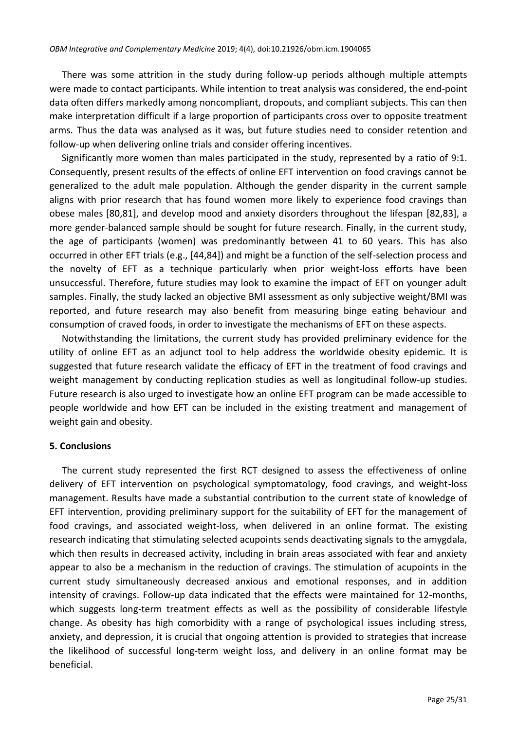There was some attrition in the study during follow-up periods although multiple attempts were made to contact participants. While intention to treat analysis was considered, the end-point data often differs markedly among noncompliant, dropouts, and compliant subjects. This can then make interpretation difficult if a large proportion of participants cross over to opposite treatment arms. Thus the data was analysed as it was, but future studies need to consider retention and follow-up when delivering online trials and consider offering incentives.

Significantly more women than males participated in the study, represented by a ratio of 9:1. Consequently, present results of the effects of online EFT intervention on food cravings cannot be generalized to the adult male population. Although the gender disparity in the current sample aligns with prior research that has found women more likely to experience food cravings than obese males [\[80](#page-30-0)[,81\]](#page-30-1), and develop mood and anxiety disorders throughout the lifespan [\[82,](#page-30-2)[83\]](#page-30-3), a more gender-balanced sample should be sought for future research. Finally, in the current study, the age of participants (women) was predominantly between 41 to 60 years. This has also occurred in other EFT trials (e.g., [\[44](#page-28-0)[,84\]](#page-30-4)) and might be a function of the self-selection process and the novelty of EFT as a technique particularly when prior weight-loss efforts have been unsuccessful. Therefore, future studies may look to examine the impact of EFT on younger adult samples. Finally, the study lacked an objective BMI assessment as only subjective weight/BMI was reported, and future research may also benefit from measuring binge eating behaviour and consumption of craved foods, in order to investigate the mechanisms of EFT on these aspects.

Notwithstanding the limitations, the current study has provided preliminary evidence for the utility of online EFT as an adjunct tool to help address the worldwide obesity epidemic. It is suggested that future research validate the efficacy of EFT in the treatment of food cravings and weight management by conducting replication studies as well as longitudinal follow-up studies. Future research is also urged to investigate how an online EFT program can be made accessible to people worldwide and how EFT can be included in the existing treatment and management of weight gain and obesity.

# **5. Conclusions**

The current study represented the first RCT designed to assess the effectiveness of online delivery of EFT intervention on psychological symptomatology, food cravings, and weight-loss management. Results have made a substantial contribution to the current state of knowledge of EFT intervention, providing preliminary support for the suitability of EFT for the management of food cravings, and associated weight-loss, when delivered in an online format. The existing research indicating that stimulating selected acupoints sends deactivating signals to the amygdala, which then results in decreased activity, including in brain areas associated with fear and anxiety appear to also be a mechanism in the reduction of cravings. The stimulation of acupoints in the current study simultaneously decreased anxious and emotional responses, and in addition intensity of cravings. Follow-up data indicated that the effects were maintained for 12-months, which suggests long-term treatment effects as well as the possibility of considerable lifestyle change. As obesity has high comorbidity with a range of psychological issues including stress, anxiety, and depression, it is crucial that ongoing attention is provided to strategies that increase the likelihood of successful long-term weight loss, and delivery in an online format may be beneficial.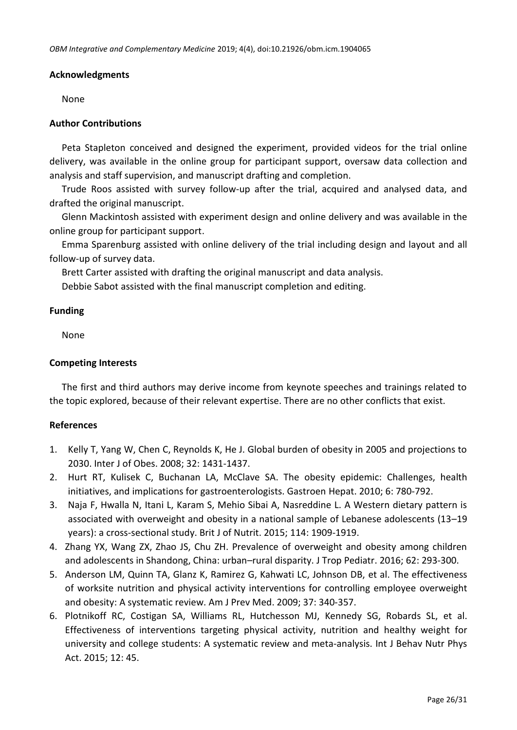## **Acknowledgments**

None

## **Author Contributions**

Peta Stapleton conceived and designed the experiment, provided videos for the trial online delivery, was available in the online group for participant support, oversaw data collection and analysis and staff supervision, and manuscript drafting and completion.

Trude Roos assisted with survey follow-up after the trial, acquired and analysed data, and drafted the original manuscript.

Glenn Mackintosh assisted with experiment design and online delivery and was available in the online group for participant support.

Emma Sparenburg assisted with online delivery of the trial including design and layout and all follow-up of survey data.

Brett Carter assisted with drafting the original manuscript and data analysis.

Debbie Sabot assisted with the final manuscript completion and editing.

## **Funding**

None

# **Competing Interests**

The first and third authors may derive income from keynote speeches and trainings related to the topic explored, because of their relevant expertise. There are no other conflicts that exist.

# **References**

- <span id="page-25-0"></span>1. Kelly T, Yang W, Chen C, Reynolds K, He J. Global burden of obesity in 2005 and projections to 2030. Inter J of Obes. 2008; 32: 1431-1437.
- <span id="page-25-1"></span>2. Hurt RT, Kulisek C, Buchanan LA, McClave SA. The obesity epidemic: Challenges, health initiatives, and implications for gastroenterologists. Gastroen Hepat. 2010; 6: 780-792.
- <span id="page-25-2"></span>3. Naja F, Hwalla N, Itani L, Karam S, Mehio Sibai A, Nasreddine L. A Western dietary pattern is associated with overweight and obesity in a national sample of Lebanese adolescents (13–19 years): a cross-sectional study. Brit J of Nutrit. 2015; 114: 1909-1919.
- <span id="page-25-3"></span>4. Zhang YX, Wang ZX, Zhao JS, Chu ZH. Prevalence of overweight and obesity among children and adolescents in Shandong, China: urban–rural disparity. J Trop Pediatr. 2016; 62: 293-300.
- <span id="page-25-4"></span>5. Anderson LM, Quinn TA, Glanz K, Ramirez G, Kahwati LC, Johnson DB, et al. The effectiveness of worksite nutrition and physical activity interventions for controlling employee overweight and obesity: A systematic review. Am J Prev Med. 2009; 37: 340-357.
- <span id="page-25-5"></span>6. Plotnikoff RC, Costigan SA, Williams RL, Hutchesson MJ, Kennedy SG, Robards SL, et al. Effectiveness of interventions targeting physical activity, nutrition and healthy weight for university and college students: A systematic review and meta-analysis. Int J Behav Nutr Phys Act. 2015; 12: 45.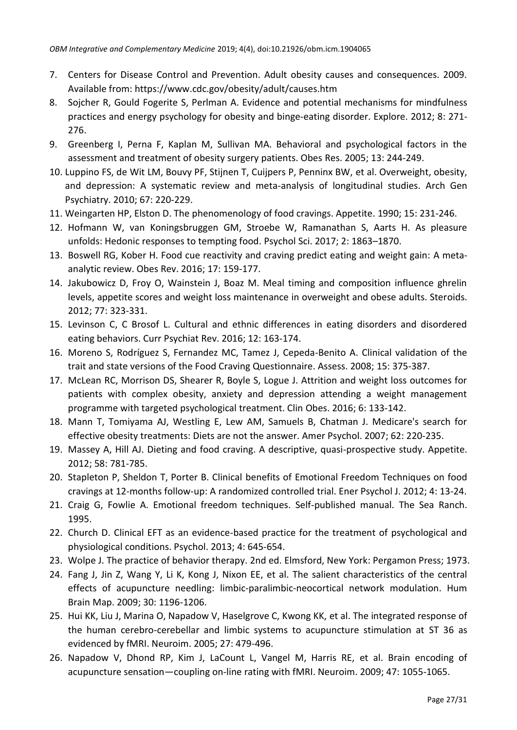- <span id="page-26-0"></span>7. Centers for Disease Control and Prevention. Adult obesity causes and consequences. 2009. Available from:<https://www.cdc.gov/obesity/adult/causes.htm>
- <span id="page-26-1"></span>8. Sojcher R, Gould Fogerite S, Perlman A. Evidence and potential mechanisms for mindfulness practices and energy psychology for obesity and binge-eating disorder. Explore. 2012; 8: 271- 276.
- <span id="page-26-2"></span>9. Greenberg I, Perna F, Kaplan M, Sullivan MA. Behavioral and psychological factors in the assessment and treatment of obesity surgery patients. Obes Res. 2005; 13: 244-249.
- <span id="page-26-3"></span>10. Luppino FS, de Wit LM, Bouvy PF, Stijnen T, Cuijpers P, Penninx BW, et al. Overweight, obesity, and depression: A systematic review and meta-analysis of longitudinal studies. Arch Gen Psychiatry. 2010; 67: 220-229.
- <span id="page-26-4"></span>11. Weingarten HP, Elston D. The phenomenology of food cravings. Appetite. 1990; 15: 231-246.
- <span id="page-26-5"></span>12. Hofmann W, van Koningsbruggen GM, Stroebe W, Ramanathan S, Aarts H. As pleasure unfolds: Hedonic responses to tempting food. Psychol Sci. 2017; 2: 1863–1870.
- <span id="page-26-6"></span>13. Boswell RG, Kober H. Food cue reactivity and craving predict eating and weight gain: A meta‐ analytic review. Obes Rev. 2016; 17: 159-177.
- <span id="page-26-10"></span>14. Jakubowicz D, Froy O, Wainstein J, Boaz M. Meal timing and composition influence ghrelin levels, appetite scores and weight loss maintenance in overweight and obese adults. Steroids. 2012; 77: 323-331.
- 15. Levinson C, C Brosof L. Cultural and ethnic differences in eating disorders and disordered eating behaviors. Curr Psychiat Rev. 2016; 12: 163-174.
- <span id="page-26-7"></span>16. Moreno S, Rodríguez S, Fernandez MC, Tamez J, Cepeda-Benito A. Clinical validation of the trait and state versions of the Food Craving Questionnaire. Assess. 2008; 15: 375-387.
- <span id="page-26-8"></span>17. McLean RC, Morrison DS, Shearer R, Boyle S, Logue J. Attrition and weight loss outcomes for patients with complex obesity, anxiety and depression attending a weight management programme with targeted psychological treatment. Clin Obes. 2016; 6: 133-142.
- <span id="page-26-9"></span>18. Mann T, Tomiyama AJ, Westling E, Lew AM, Samuels B, Chatman J. Medicare's search for effective obesity treatments: Diets are not the answer. Amer Psychol. 2007; 62: 220-235.
- <span id="page-26-11"></span>19. Massey A, Hill AJ. Dieting and food craving. A descriptive, quasi-prospective study. Appetite. 2012; 58: 781-785.
- <span id="page-26-12"></span>20. Stapleton P, Sheldon T, Porter B. Clinical benefits of Emotional Freedom Techniques on food cravings at 12-months follow-up: A randomized controlled trial. Ener Psychol J. 2012; 4: 13-24.
- <span id="page-26-13"></span>21. Craig G, Fowlie A. Emotional freedom techniques. Self-published manual. The Sea Ranch. 1995.
- <span id="page-26-14"></span>22. Church D. Clinical EFT as an evidence-based practice for the treatment of psychological and physiological conditions. Psychol. 2013; 4: 645-654.
- <span id="page-26-15"></span>23. Wolpe J. The practice of behavior therapy. 2nd ed. Elmsford, New York: Pergamon Press; 1973.
- <span id="page-26-16"></span>24. Fang J, Jin Z, Wang Y, Li K, Kong J, Nixon EE, et al. The salient characteristics of the central effects of acupuncture needling: limbic‐paralimbic‐neocortical network modulation. Hum Brain Map. 2009; 30: 1196-1206.
- 25. Hui KK, Liu J, Marina O, Napadow V, Haselgrove C, Kwong KK, et al. The integrated response of the human cerebro-cerebellar and limbic systems to acupuncture stimulation at ST 36 as evidenced by fMRI. Neuroim. 2005; 27: 479-496.
- <span id="page-26-17"></span>26. Napadow V, Dhond RP, Kim J, LaCount L, Vangel M, Harris RE, et al. Brain encoding of acupuncture sensation—coupling on-line rating with fMRI. Neuroim. 2009; 47: 1055-1065.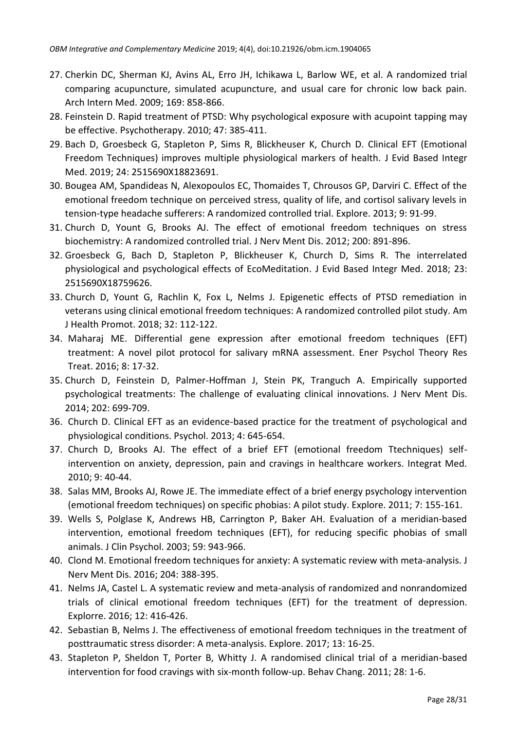- <span id="page-27-0"></span>27. Cherkin DC, Sherman KJ, Avins AL, Erro JH, Ichikawa L, Barlow WE, et al. A randomized trial comparing acupuncture, simulated acupuncture, and usual care for chronic low back pain. Arch Intern Med. 2009; 169: 858-866.
- <span id="page-27-1"></span>28. Feinstein D. Rapid treatment of PTSD: Why psychological exposure with acupoint tapping may be effective. Psychotherapy. 2010; 47: 385-411.
- <span id="page-27-2"></span>29. Bach D, Groesbeck G, Stapleton P, Sims R, Blickheuser K, Church D. Clinical EFT (Emotional Freedom Techniques) improves multiple physiological markers of health. J Evid Based Integr Med. 2019; 24: 2515690X18823691.
- <span id="page-27-14"></span>30. Bougea AM, Spandideas N, Alexopoulos EC, Thomaides T, Chrousos GP, Darviri C. Effect of the emotional freedom technique on perceived stress, quality of life, and cortisol salivary levels in tension-type headache sufferers: A randomized controlled trial. Explore. 2013; 9: 91-99.
- <span id="page-27-15"></span>31. Church D, Yount G, Brooks AJ. The effect of emotional freedom techniques on stress biochemistry: A randomized controlled trial. J Nerv Ment Dis. 2012; 200: 891-896.
- <span id="page-27-3"></span>32. Groesbeck G, Bach D, Stapleton P, Blickheuser K, Church D, Sims R. The interrelated physiological and psychological effects of EcoMeditation. J Evid Based Integr Med. 2018; 23: 2515690X18759626.
- <span id="page-27-4"></span>33. Church D, Yount G, Rachlin K, Fox L, Nelms J. Epigenetic effects of PTSD remediation in veterans using clinical emotional freedom techniques: A randomized controlled pilot study. Am J Health Promot. 2018; 32: 112-122.
- <span id="page-27-5"></span>34. Maharaj ME. Differential gene expression after emotional freedom techniques (EFT) treatment: A novel pilot protocol for salivary mRNA assessment. Ener Psychol Theory Res Treat. 2016; 8: 17-32.
- <span id="page-27-6"></span>35. Church D, Feinstein D, Palmer-Hoffman J, Stein PK, Tranguch A. Empirically supported psychological treatments: The challenge of evaluating clinical innovations. J Nerv Ment Dis. 2014; 202: 699-709.
- <span id="page-27-7"></span>36. Church D. Clinical EFT as an evidence-based practice for the treatment of psychological and physiological conditions. Psychol. 2013; 4: 645-654.
- <span id="page-27-8"></span>37. Church D, Brooks AJ. The effect of a brief EFT (emotional freedom Ttechniques) selfintervention on anxiety, depression, pain and cravings in healthcare workers. Integrat Med. 2010; 9: 40-44.
- <span id="page-27-9"></span>38. Salas MM, Brooks AJ, Rowe JE. The immediate effect of a brief energy psychology intervention (emotional freedom techniques) on specific phobias: A pilot study. Explore. 2011; 7: 155-161.
- <span id="page-27-10"></span>39. Wells S, Polglase K, Andrews HB, Carrington P, Baker AH. Evaluation of a meridian‐based intervention, emotional freedom techniques (EFT), for reducing specific phobias of small animals. J Clin Psychol. 2003; 59: 943-966.
- <span id="page-27-11"></span>40. Clond M. Emotional freedom techniques for anxiety: A systematic review with meta-analysis. J Nerv Ment Dis. 2016; 204: 388-395.
- 41. Nelms JA, Castel L. A systematic review and meta-analysis of randomized and nonrandomized trials of clinical emotional freedom techniques (EFT) for the treatment of depression. Explorre. 2016; 12: 416-426.
- <span id="page-27-12"></span>42. Sebastian B, Nelms J. The effectiveness of emotional freedom techniques in the treatment of posttraumatic stress disorder: A meta-analysis. Explore. 2017; 13: 16-25.
- <span id="page-27-13"></span>43. Stapleton P, Sheldon T, Porter B, Whitty J. A randomised clinical trial of a meridian-based intervention for food cravings with six-month follow-up. Behav Chang. 2011; 28: 1-6.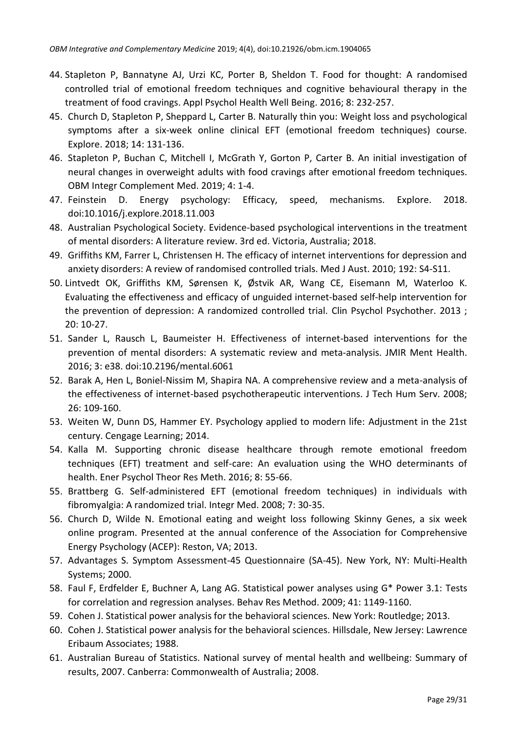- <span id="page-28-0"></span>44. Stapleton P, Bannatyne AJ, Urzi KC, Porter B, Sheldon T. Food for thought: A randomised controlled trial of emotional freedom techniques and cognitive behavioural therapy in the treatment of food cravings. Appl Psychol Health Well Being. 2016; 8: 232-257.
- <span id="page-28-1"></span>45. Church D, Stapleton P, Sheppard L, Carter B. Naturally thin you: Weight loss and psychological symptoms after a six-week online clinical EFT (emotional freedom techniques) course. Explore. 2018; 14: 131-136.
- <span id="page-28-2"></span>46. Stapleton P, Buchan C, Mitchell I, McGrath Y, Gorton P, Carter B. An initial investigation of neural changes in overweight adults with food cravings after emotional freedom techniques. OBM Integr Complement Med. 2019; 4: 1-4.
- <span id="page-28-3"></span>47. Feinstein D. Energy psychology: Efficacy, speed, mechanisms. Explore. 2018. doi:10.1016/j.explore.2018.11.003
- <span id="page-28-4"></span>48. Australian Psychological Society. Evidence-based psychological interventions in the treatment of mental disorders: A literature review. 3rd ed. Victoria, Australia; 2018.
- <span id="page-28-5"></span>49. Griffiths KM, Farrer L, Christensen H. The efficacy of internet interventions for depression and anxiety disorders: A review of randomised controlled trials. Med J Aust. 2010; 192: S4-S11.
- 50. Lintvedt OK, Griffiths KM, Sørensen K, Østvik AR, Wang CE, Eisemann M, Waterloo K. Evaluating the effectiveness and efficacy of unguided internet‐based self‐help intervention for the prevention of depression: A randomized controlled trial. Clin Psychol Psychother. 2013 ; 20: 10-27.
- <span id="page-28-6"></span>51. Sander L, Rausch L, Baumeister H. Effectiveness of internet-based interventions for the prevention of mental disorders: A systematic review and meta-analysis. JMIR Ment Health. 2016; 3: e38. doi:10.2196/mental.6061
- <span id="page-28-7"></span>52. Barak A, Hen L, Boniel-Nissim M, Shapira NA. A comprehensive review and a meta-analysis of the effectiveness of internet-based psychotherapeutic interventions. J Tech Hum Serv. 2008; 26: 109-160.
- <span id="page-28-8"></span>53. Weiten W, Dunn DS, Hammer EY. Psychology applied to modern life: Adjustment in the 21st century. Cengage Learning; 2014.
- <span id="page-28-9"></span>54. Kalla M. Supporting chronic disease healthcare through remote emotional freedom techniques (EFT) treatment and self-care: An evaluation using the WHO determinants of health. Ener Psychol Theor Res Meth. 2016; 8: 55-66.
- <span id="page-28-10"></span>55. Brattberg G. Self-administered EFT (emotional freedom techniques) in individuals with fibromyalgia: A randomized trial. Integr Med. 2008; 7: 30-35.
- <span id="page-28-11"></span>56. Church D, Wilde N. Emotional eating and weight loss following Skinny Genes, a six week online program. Presented at the annual conference of the Association for Comprehensive Energy Psychology (ACEP): Reston, VA; 2013.
- <span id="page-28-12"></span>57. Advantages S. Symptom Assessment-45 Questionnaire (SA-45). New York, NY: Multi-Health Systems; 2000.
- <span id="page-28-13"></span>58. Faul F, Erdfelder E, Buchner A, Lang AG. Statistical power analyses using G\* Power 3.1: Tests for correlation and regression analyses. Behav Res Method. 2009; 41: 1149-1160.
- <span id="page-28-14"></span>59. Cohen J. Statistical power analysis for the behavioral sciences. New York: Routledge; 2013.
- <span id="page-28-15"></span>60. Cohen J. Statistical power analysis for the behavioral sciences. Hillsdale, New Jersey: Lawrence Eribaum Associates; 1988.
- <span id="page-28-16"></span>61. Australian Bureau of Statistics. National survey of mental health and wellbeing: Summary of results, 2007. Canberra: Commonwealth of Australia; 2008.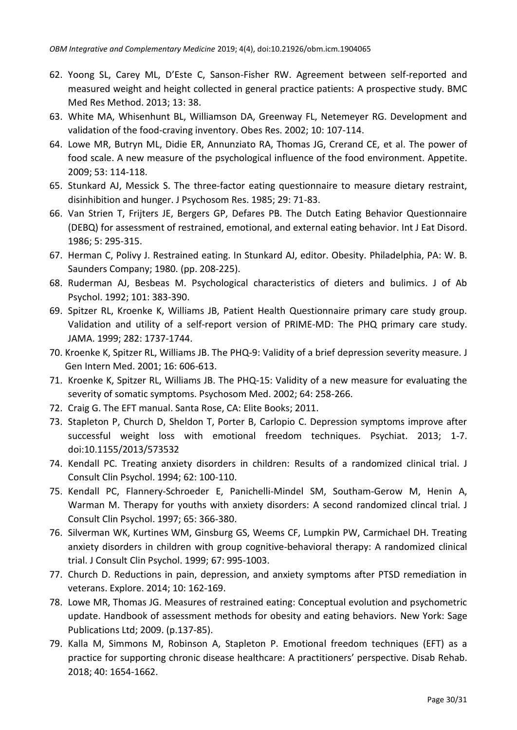- <span id="page-29-0"></span>62. Yoong SL, Carey ML, D'Este C, Sanson-Fisher RW. Agreement between self-reported and measured weight and height collected in general practice patients: A prospective study. BMC Med Res Method. 2013; 13: 38.
- <span id="page-29-1"></span>63. White MA, Whisenhunt BL, Williamson DA, Greenway FL, Netemeyer RG. Development and validation of the food‐craving inventory. Obes Res. 2002; 10: 107-114.
- <span id="page-29-2"></span>64. Lowe MR, Butryn ML, Didie ER, Annunziato RA, Thomas JG, Crerand CE, et al. The power of food scale. A new measure of the psychological influence of the food environment. Appetite. 2009; 53: 114-118.
- <span id="page-29-3"></span>65. Stunkard AJ, Messick S. The three-factor eating questionnaire to measure dietary restraint, disinhibition and hunger. J Psychosom Res. 1985; 29: 71-83.
- <span id="page-29-4"></span>66. Van Strien T, Frijters JE, Bergers GP, Defares PB. The Dutch Eating Behavior Questionnaire (DEBQ) for assessment of restrained, emotional, and external eating behavior. Int J Eat Disord. 1986; 5: 295-315.
- <span id="page-29-5"></span>67. Herman C, Polivy J. Restrained eating. In Stunkard AJ, editor. Obesity. Philadelphia, PA: W. B. Saunders Company; 1980. (pp. 208-225).
- <span id="page-29-6"></span>68. Ruderman AJ, Besbeas M. Psychological characteristics of dieters and bulimics. J of Ab Psychol. 1992; 101: 383-390.
- <span id="page-29-7"></span>69. Spitzer RL, Kroenke K, Williams JB, Patient Health Questionnaire primary care study group. Validation and utility of a self-report version of PRIME-MD: The PHQ primary care study. JAMA. 1999; 282: 1737-1744.
- <span id="page-29-8"></span>70. Kroenke K, Spitzer RL, Williams JB. The PHQ‐9: Validity of a brief depression severity measure. J Gen Intern Med. 2001; 16: 606-613.
- <span id="page-29-9"></span>71. Kroenke K, Spitzer RL, Williams JB. The PHQ-15: Validity of a new measure for evaluating the severity of somatic symptoms. Psychosom Med. 2002; 64: 258-266.
- <span id="page-29-10"></span>72. Craig G. The EFT manual. Santa Rose, CA: Elite Books; 2011.
- <span id="page-29-13"></span>73. Stapleton P, Church D, Sheldon T, Porter B, Carlopio C. Depression symptoms improve after successful weight loss with emotional freedom techniques. Psychiat. 2013; 1-7. doi:10.1155/2013/573532
- <span id="page-29-11"></span>74. Kendall PC. Treating anxiety disorders in children: Results of a randomized clinical trial. J Consult Clin Psychol. 1994; 62: 100-110.
- 75. Kendall PC, Flannery-Schroeder E, Panichelli-Mindel SM, Southam-Gerow M, Henin A, Warman M. Therapy for youths with anxiety disorders: A second randomized clincal trial. J Consult Clin Psychol. 1997; 65: 366-380.
- <span id="page-29-12"></span>76. Silverman WK, Kurtines WM, Ginsburg GS, Weems CF, Lumpkin PW, Carmichael DH. Treating anxiety disorders in children with group cognitive-behavioral therapy: A randomized clinical trial. J Consult Clin Psychol. 1999; 67: 995-1003.
- 77. Church D. Reductions in pain, depression, and anxiety symptoms after PTSD remediation in veterans. Explore. 2014; 10: 162-169.
- <span id="page-29-14"></span>78. Lowe MR, Thomas JG. Measures of restrained eating: Conceptual evolution and psychometric update. Handbook of assessment methods for obesity and eating behaviors. New York: Sage Publications Ltd; 2009. (p.137-85).
- <span id="page-29-15"></span>79. Kalla M, Simmons M, Robinson A, Stapleton P. Emotional freedom techniques (EFT) as a practice for supporting chronic disease healthcare: A practitioners' perspective. Disab Rehab. 2018; 40: 1654-1662.